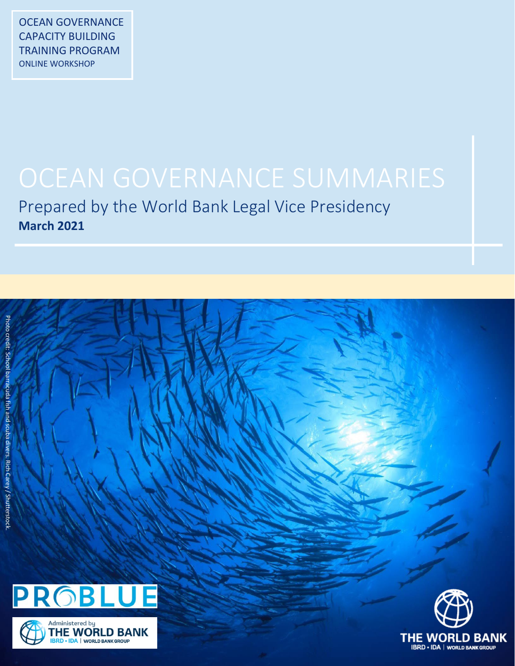Prepared by the World Bank Legal Vice Presidency **March 2021**





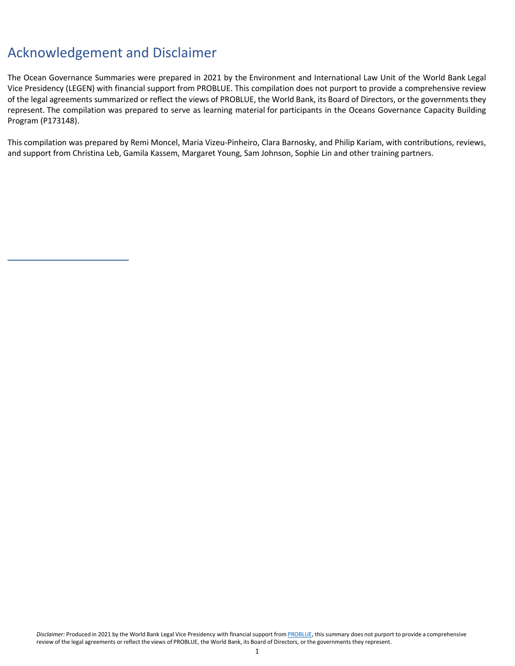## Acknowledgement and Disclaimer

The Ocean Governance Summaries were prepared in 2021 by the Environment and International Law Unit of the World Bank Legal Vice Presidency (LEGEN) with financial support from PROBLUE. This compilation does not purport to provide a comprehensive review of the legal agreements summarized or reflect the views of PROBLUE, the World Bank, its Board of Directors, or the governments they represent. The compilation was prepared to serve as learning material for participants in the Oceans Governance Capacity Building Program (P173148).

This compilation was prepared by Remi Moncel, Maria Vizeu-Pinheiro, Clara Barnosky, and Philip Kariam, with contributions, reviews, and support from Christina Leb, Gamila Kassem, Margaret Young, Sam Johnson, Sophie Lin and other training partners.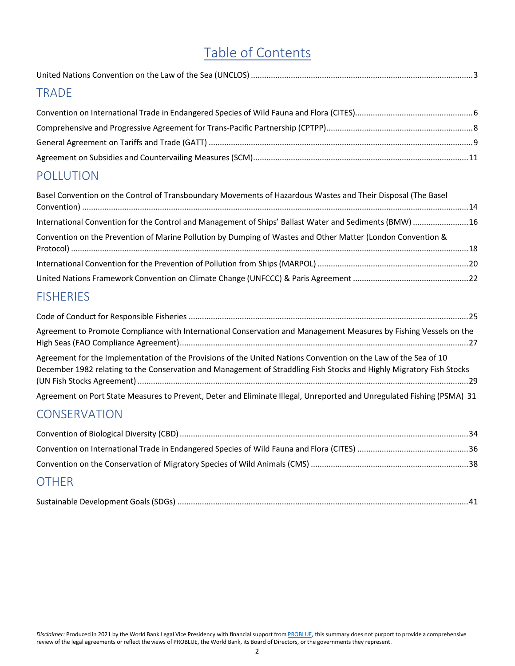## Table of Contents

## **[TRADE](#page-5-0)**

## [POLLUTION](#page-14-0)

| Basel Convention on the Control of Transboundary Movements of Hazardous Wastes and Their Disposal (The Basel |  |
|--------------------------------------------------------------------------------------------------------------|--|
| International Convention for the Control and Management of Ships' Ballast Water and Sediments (BMW)  16      |  |
| Convention on the Prevention of Marine Pollution by Dumping of Wastes and Other Matter (London Convention &  |  |
|                                                                                                              |  |
|                                                                                                              |  |

## **[FISHERIES](#page-25-0)**

| Agreement to Promote Compliance with International Conservation and Management Measures by Fishing Vessels on the                                                                                                                       |  |
|-----------------------------------------------------------------------------------------------------------------------------------------------------------------------------------------------------------------------------------------|--|
| Agreement for the Implementation of the Provisions of the United Nations Convention on the Law of the Sea of 10<br>December 1982 relating to the Conservation and Management of Straddling Fish Stocks and Highly Migratory Fish Stocks |  |
| Agreement on Port State Measures to Prevent, Deter and Eliminate Illegal, Unreported and Unregulated Fishing (PSMA) 31                                                                                                                  |  |

## **[CONSERVATION](#page-34-0)**

| <b>OTHER</b> |  |
|--------------|--|

## Sustainable Development Goals(SDGs) [...................................................................................................................................41](#page-42-0)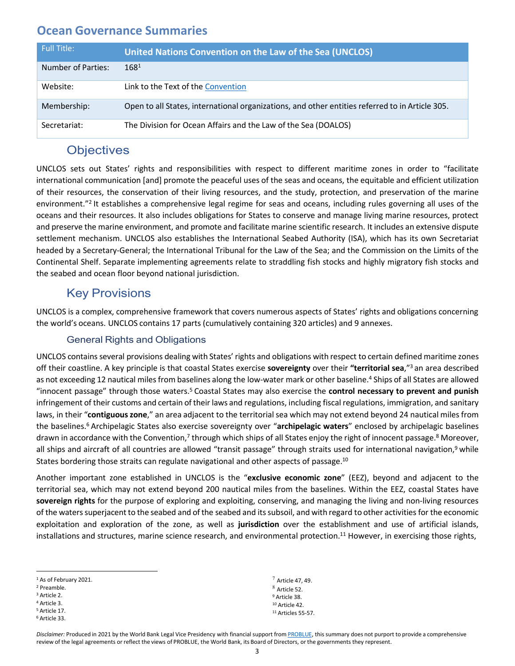<span id="page-3-0"></span>

| <b>Full Title:</b> | United Nations Convention on the Law of the Sea (UNCLOS)                                        |
|--------------------|-------------------------------------------------------------------------------------------------|
| Number of Parties: | $168^{1}$                                                                                       |
| Website:           | Link to the Text of the Convention                                                              |
| Membership:        | Open to all States, international organizations, and other entities referred to in Article 305. |
| Secretariat:       | The Division for Ocean Affairs and the Law of the Sea (DOALOS)                                  |

## **Objectives**

UNCLOS sets out States' rights and responsibilities with respect to different maritime zones in order to "facilitate international communication [and] promote the peaceful uses of the seas and oceans, the equitable and efficient utilization of their resources, the conservation of their living resources, and the study, protection, and preservation of the marine environment."2 It establishes a comprehensive legal regime for seas and oceans, including rules governing all uses of the oceans and their resources. It also includes obligations for States to conserve and manage living marine resources, protect and preserve the marine environment, and promote and facilitate marine scientific research. It includes an extensive dispute settlement mechanism. UNCLOS also establishes the International Seabed Authority (ISA), which has its own Secretariat headed by a Secretary-General; the International Tribunal for the Law of the Sea; and the Commission on the Limits of the Continental Shelf. Separate implementing agreements relate to straddling fish stocks and highly migratory fish stocks and the seabed and ocean floor beyond national jurisdiction.

## Key Provisions

UNCLOS is a complex, comprehensive framework that covers numerous aspects of States' rights and obligations concerning the world's oceans. UNCLOS contains 17 parts (cumulatively containing 320 articles) and 9 annexes.

#### General Rights and Obligations

UNCLOS contains several provisions dealing with States' rights and obligations with respect to certain defined maritime zones off their coastline. A key principle is that coastal States exercise **sovereignty** over their **"territorial sea**,"3 an area described as not exceeding 12 nautical miles from baselines along the low-water mark or other baseline.<sup>4</sup> Ships of all States are allowed "innocent passage" through those waters.5 Coastal States may also exercise the **control necessary to prevent and punish** infringement of their customs and certain of their laws and regulations, including fiscal regulations, immigration, and sanitary laws, in their "**contiguouszone**," an area adjacent to the territorialsea which may not extend beyond 24 nautical miles from the baselines.6 Archipelagic States also exercise sovereignty over "**archipelagic waters**" enclosed by archipelagic baselines drawn in accordance with the Convention,<sup>7</sup> through which ships of all States enjoy the right of innocent passage.<sup>8</sup> Moreover, all ships and aircraft of all countries are allowed "transit passage" through straits used for international navigation,<sup>9</sup> while States bordering those straits can regulate navigational and other aspects of passage.<sup>10</sup>

Another important zone established in UNCLOS is the "**exclusive economic zone**" (EEZ), beyond and adjacent to the territorial sea, which may not extend beyond 200 nautical miles from the baselines. Within the EEZ, coastal States have **sovereign rights** for the purpose of exploring and exploiting, conserving, and managing the living and non-living resources of the waters superjacent to the seabed and of the seabed and its subsoil, and with regard to other activities for the economic exploitation and exploration of the zone, as well as **jurisdiction** over the establishment and use of artificial islands, installations and structures, marine science research, and environmental protection.<sup>11</sup> However, in exercising those rights,

<sup>5</sup> Article 17.

 $<sup>7</sup>$  Article 47, 49.</sup> Article 52. <sup>9</sup> Article 38. <sup>10</sup> Article 42. <sup>11</sup> Articles 55-57.

<sup>1</sup> As of February 2021.

<sup>2</sup> Preamble.

<sup>3</sup> Article 2. <sup>4</sup> Article 3.

<sup>6</sup> Article 33.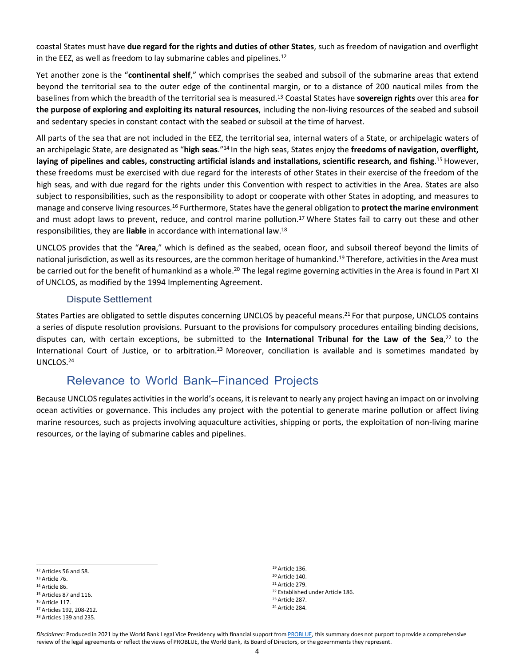coastal States must have **due regard for the rights and duties of other States**, such as freedom of navigation and overflight in the EEZ, as well as freedom to lay submarine cables and pipelines.12

Yet another zone is the "**continental shelf**," which comprises the seabed and subsoil of the submarine areas that extend beyond the territorial sea to the outer edge of the continental margin, or to a distance of 200 nautical miles from the baselines from which the breadth of the territorial sea is measured.13 Coastal States have **sovereign rights** over this area **for the purpose of exploring and exploiting its natural resources**, including the non-living resources of the seabed and subsoil and sedentary species in constant contact with the seabed or subsoil at the time of harvest.

All parts of the sea that are not included in the EEZ, the territorial sea, internal waters of a State, or archipelagic waters of an archipelagic State, are designated as "**high seas**."14 In the high seas, States enjoy the **freedoms of navigation, overflight,** laying of pipelines and cables, constructing artificial islands and installations, scientific research, and fishing.<sup>15</sup> However, these freedoms must be exercised with due regard for the interests of other States in their exercise of the freedom of the high seas, and with due regard for the rights under this Convention with respect to activities in the Area. States are also subject to responsibilities, such as the responsibility to adopt or cooperate with other States in adopting, and measures to manage and conserve living resources.16 Furthermore, States have the general obligation to **protectthe marine environment** and must adopt laws to prevent, reduce, and control marine pollution.17 Where States fail to carry out these and other responsibilities, they are **liable** in accordance with international law.18

UNCLOS provides that the "**Area**," which is defined as the seabed, ocean floor, and subsoil thereof beyond the limits of national jurisdiction, as well as its resources, are the common heritage of humankind.<sup>19</sup> Therefore, activities in the Area must be carried out for the benefit of humankind as a whole.<sup>20</sup> The legal regime governing activities in the Area is found in Part XI of UNCLOS, as modified by the 1994 Implementing Agreement.

#### Dispute Settlement

States Parties are obligated to settle disputes concerning UNCLOS by peaceful means.<sup>21</sup> For that purpose, UNCLOS contains a series of dispute resolution provisions. Pursuant to the provisions for compulsory procedures entailing binding decisions, disputes can, with certain exceptions, be submitted to the **International Tribunal for the Law of the Sea**, <sup>22</sup> to the International Court of Justice, or to arbitration.23 Moreover, conciliation is available and is sometimes mandated by UNCLOS.24

## Relevance to World Bank–Financed Projects

Because UNCLOS regulates activities in the world's oceans, it is relevant to nearly any project having an impact on or involving ocean activities or governance. This includes any project with the potential to generate marine pollution or affect living marine resources, such as projects involving aquaculture activities, shipping or ports, the exploitation of non-living marine resources, or the laying of submarine cables and pipelines.

 Article 136. Article 140. Article 279. Established under Article 186. Article 287. Article 284.

<sup>12</sup> Articles 56 and 58.

<sup>13</sup> Article 76.

<sup>14</sup> Article 86.

<sup>15</sup> Articles 87 and 116.

<sup>16</sup> Article 117.

<sup>17</sup> Articles 192, 208-212.

<sup>18</sup> Articles 139 and 235.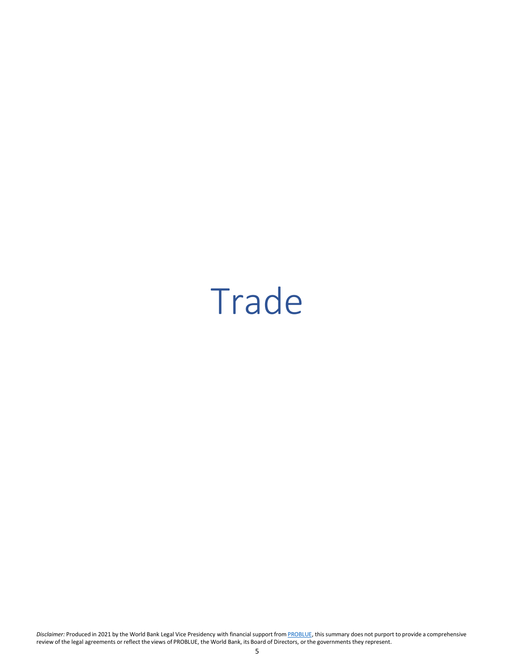## <span id="page-5-0"></span>Trade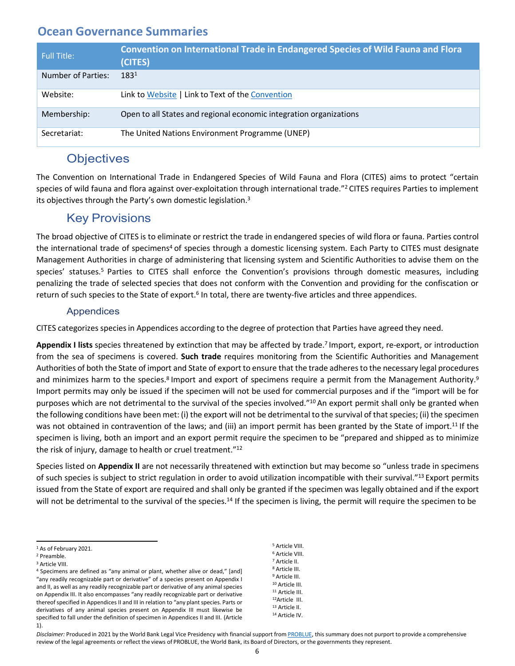<span id="page-6-0"></span>

| Full Title:        | <b>Convention on International Trade in Endangered Species of Wild Fauna and Flora</b><br>(CITES) |
|--------------------|---------------------------------------------------------------------------------------------------|
| Number of Parties: | $183^{1}$                                                                                         |
| Website:           | Link to Website   Link to Text of the Convention                                                  |
| Membership:        | Open to all States and regional economic integration organizations                                |
| Secretariat:       | The United Nations Environment Programme (UNEP)                                                   |

## **Objectives**

The Convention on International Trade in Endangered Species of Wild Fauna and Flora (CITES) aims to protect "certain species of wild fauna and flora against over-exploitation through international trade."<sup>2</sup> CITES requires Parties to implement its objectives through the Party's own domestic legislation.<sup>3</sup>

## Key Provisions

The broad objective of CITES is to eliminate or restrict the trade in endangered species of wild flora or fauna. Parties control the international trade of specimens<sup>4</sup> of species through a domestic licensing system. Each Party to CITES must designate Management Authorities in charge of administering that licensing system and Scientific Authorities to advise them on the species' statuses.<sup>5</sup> Parties to CITES shall enforce the Convention's provisions through domestic measures, including penalizing the trade of selected species that does not conform with the Convention and providing for the confiscation or return of such species to the State of export.<sup>6</sup> In total, there are twenty-five articles and three appendices.

#### Appendices

CITES categorizes speciesin Appendices according to the degree of protection that Parties have agreed they need.

**Appendix I lists** species threatened by extinction that may be affected by trade.7 Import, export, re-export, or introduction from the sea of specimens is covered. **Such trade** requires monitoring from the Scientific Authorities and Management Authorities of both the State of import and State of export to ensure that the trade adheres to the necessary legal procedures and minimizes harm to the species.<sup>8</sup> Import and export of specimens require a permit from the Management Authority.<sup>9</sup> Import permits may only be issued if the specimen will not be used for commercial purposes and if the "import will be for purposes which are not detrimental to the survival of the species involved."10 An export permit shall only be granted when the following conditions have been met: (i) the export will not be detrimental to the survival of that species; (ii) the specimen was not obtained in contravention of the laws; and (iii) an import permit has been granted by the State of import.<sup>11</sup> If the specimen is living, both an import and an export permit require the specimen to be "prepared and shipped as to minimize the risk of injury, damage to health or cruel treatment."12

Species listed on **Appendix II** are not necessarily threatened with extinction but may become so "unless trade in specimens of such species is subject to strict regulation in order to avoid utilization incompatible with their survival."<sup>13</sup> Export permits issued from the State of export are required and shall only be granted if the specimen was legally obtained and if the export will not be detrimental to the survival of the species.<sup>14</sup> If the specimen is living, the permit will require the specimen to be

 Article VIII. Article VIII. Article II. Article III. Article III. Article III. Article III. 12Article III. Article II. Article IV.

<sup>1</sup> As of February 2021.

<sup>2</sup> Preamble.

<sup>3</sup> Article VIII.

<sup>4</sup> Specimens are defined as "any animal or plant, whether alive or dead," [and] "any readily recognizable part or derivative" of a species present on Appendix I and II, as well as any readily recognizable part or derivative of any animal species on Appendix III. It also encompasses "any readily recognizable part or derivative thereof specified in Appendices II and III in relation to "any plant species. Parts or derivatives of any animal species present on Appendix III must likewise be specified to fall under the definition of specimen in Appendices II and III. (Article 1).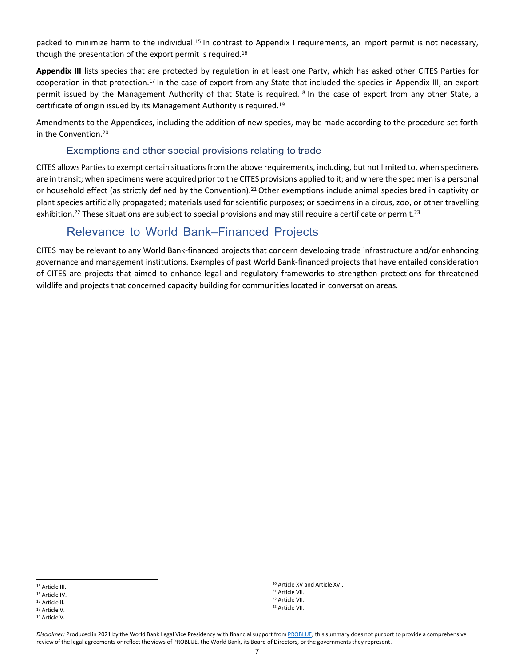packed to minimize harm to the individual.15 In contrast to Appendix I requirements, an import permit is not necessary, though the presentation of the export permit is required.16

**Appendix III** lists species that are protected by regulation in at least one Party, which has asked other CITES Parties for cooperation in that protection.17 In the case of export from any State that included the species in Appendix III, an export permit issued by the Management Authority of that State is required.18 In the case of export from any other State, a certificate of origin issued by its Management Authority is required.19

Amendments to the Appendices, including the addition of new species, may be made according to the procedure set forth in the Convention.20

#### Exemptions and other special provisions relating to trade

CITES allows Parties to exempt certain situations from the above requirements, including, but not limited to, when specimens are in transit; when specimens were acquired prior to the CITES provisions applied to it; and where the specimen is a personal or household effect (as strictly defined by the Convention).21 Other exemptions include animal species bred in captivity or plant species artificially propagated; materials used for scientific purposes; or specimens in a circus, zoo, or other travelling exhibition.<sup>22</sup> These situations are subject to special provisions and may still require a certificate or permit.<sup>23</sup>

## Relevance to World Bank–Financed Projects

CITES may be relevant to any World Bank-financed projects that concern developing trade infrastructure and/or enhancing governance and management institutions. Examples of past World Bank-financed projects that have entailed consideration of CITES are projects that aimed to enhance legal and regulatory frameworks to strengthen protections for threatened wildlife and projects that concerned capacity building for communities located in conversation areas.

<sup>17</sup> Article II.

 Article XV and Article XVI. Article VII. Article VII. Article VII.

<sup>15</sup> Article III.

<sup>16</sup> Article IV.

<sup>18</sup> Article V.

<sup>19</sup> Article V.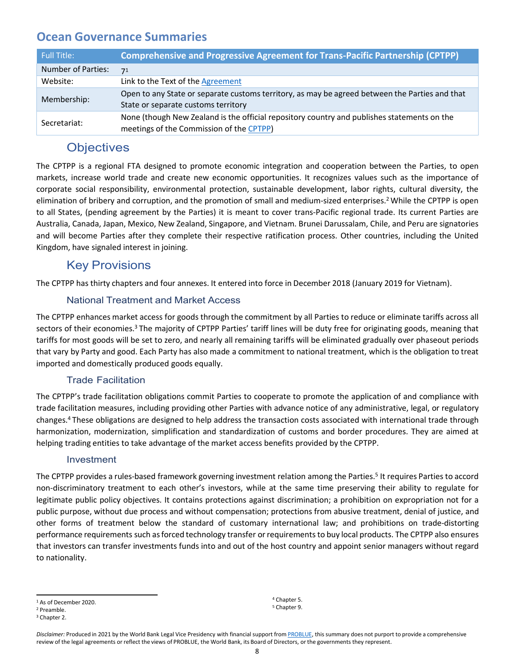<span id="page-8-0"></span>

| <b>Full Title:</b> | <b>Comprehensive and Progressive Agreement for Trans-Pacific Partnership (CPTPP)</b>                                                    |
|--------------------|-----------------------------------------------------------------------------------------------------------------------------------------|
| Number of Parties: | 71                                                                                                                                      |
| Website:           | Link to the Text of the Agreement                                                                                                       |
| Membership:        | Open to any State or separate customs territory, as may be agreed between the Parties and that<br>State or separate customs territory   |
| Secretariat:       | None (though New Zealand is the official repository country and publishes statements on the<br>meetings of the Commission of the CPTPP) |

## **Objectives**

The CPTPP is a regional FTA designed to promote economic integration and cooperation between the Parties, to open markets, increase world trade and create new economic opportunities. It recognizes values such as the importance of corporate social responsibility, environmental protection, sustainable development, labor rights, cultural diversity, the elimination of bribery and corruption, and the promotion of small and medium-sized enterprises.2 While the CPTPP is open to all States, (pending agreement by the Parties) it is meant to cover trans-Pacific regional trade. Its current Parties are Australia, Canada, Japan, Mexico, New Zealand, Singapore, and Vietnam. Brunei Darussalam, Chile, and Peru are signatories and will become Parties after they complete their respective ratification process. Other countries, including the United Kingdom, have signaled interest in joining.

## Key Provisions

The CPTPP has thirty chapters and four annexes. It entered into force in December 2018 (January 2019 for Vietnam).

#### National Treatment and Market Access

The CPTPP enhances market access for goods through the commitment by all Parties to reduce or eliminate tariffs across all sectors of their economies.<sup>3</sup> The majority of CPTPP Parties' tariff lines will be duty free for originating goods, meaning that tariffs for most goods will be set to zero, and nearly all remaining tariffs will be eliminated gradually over phaseout periods that vary by Party and good. Each Party has also made a commitment to national treatment, which is the obligation to treat imported and domestically produced goods equally.

#### Trade Facilitation

The CPTPP's trade facilitation obligations commit Parties to cooperate to promote the application of and compliance with trade facilitation measures, including providing other Parties with advance notice of any administrative, legal, or regulatory changes.4 These obligations are designed to help address the transaction costs associated with international trade through harmonization, modernization, simplification and standardization of customs and border procedures. They are aimed at helping trading entities to take advantage of the market access benefits provided by the CPTPP.

#### Investment

The CPTPP provides a rules-based framework governing investment relation among the Parties.<sup>5</sup> It requires Parties to accord non-discriminatory treatment to each other's investors, while at the same time preserving their ability to regulate for legitimate public policy objectives. It contains protections against discrimination; a prohibition on expropriation not for a public purpose, without due process and without compensation; protections from abusive treatment, denial of justice, and other forms of treatment below the standard of customary international law; and prohibitions on trade-distorting performance requirements such asforced technology transfer orrequirementsto buy local products. The CPTPP also ensures that investors can transfer investments funds into and out of the host country and appoint senior managers without regard to nationality.

<sup>4</sup> Chapter 5. <sup>5</sup> Chapter 9.

<sup>&</sup>lt;sup>1</sup> As of December 2020.

<sup>2</sup> Preamble.

<sup>3</sup> Chapter 2.

Disclaimer: Produced in 2021 by the World Bank Legal Vice Presidency with financial support from [PROBLUE, t](http://worldbank.org/problue)his summary does not purport to provide a comprehensive review of the legal agreements or reflect the views of PROBLUE, the World Bank, its Board of Directors, or the governments they represent.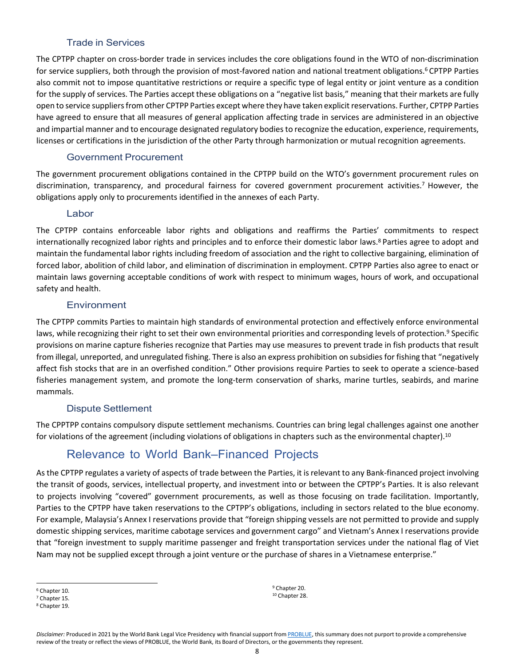#### Trade in Services

The CPTPP chapter on cross-border trade in services includes the core obligations found in the WTO of non-discrimination for service suppliers, both through the provision of most-favored nation and national treatment obligations.<sup>6</sup> CPTPP Parties also commit not to impose quantitative restrictions or require a specific type of legal entity or joint venture as a condition for the supply of services. The Parties accept these obligations on a "negative list basis," meaning that their markets are fully open to service suppliers from other CPTPP Parties except where they have taken explicit reservations. Further, CPTPP Parties have agreed to ensure that all measures of general application affecting trade in services are administered in an objective and impartial manner and to encourage designated regulatory bodies to recognize the education, experience, requirements, licenses or certifications in the jurisdiction of the other Party through harmonization or mutual recognition agreements.

#### Government Procurement

The government procurement obligations contained in the CPTPP build on the WTO's government procurement rules on discrimination, transparency, and procedural fairness for covered government procurement activities.<sup>7</sup> However, the obligations apply only to procurements identified in the annexes of each Party.

#### Labor

The CPTPP contains enforceable labor rights and obligations and reaffirms the Parties' commitments to respect internationally recognized labor rights and principles and to enforce their domestic labor laws.8 Parties agree to adopt and maintain the fundamental labor rights including freedom of association and the right to collective bargaining, elimination of forced labor, abolition of child labor, and elimination of discrimination in employment. CPTPP Parties also agree to enact or maintain laws governing acceptable conditions of work with respect to minimum wages, hours of work, and occupational safety and health.

#### **Environment**

The CPTPP commits Parties to maintain high standards of environmental protection and effectively enforce environmental laws, while recognizing their right to set their own environmental priorities and corresponding levels of protection.<sup>9</sup> Specific provisions on marine capture fisheries recognize that Parties may use measures to prevent trade in fish products that result from illegal, unreported, and unregulated fishing. There is also an express prohibition on subsidies for fishing that "negatively affect fish stocks that are in an overfished condition." Other provisions require Parties to seek to operate a science-based fisheries management system, and promote the long-term conservation of sharks, marine turtles, seabirds, and marine mammals.

#### Dispute Settlement

The CPPTPP contains compulsory dispute settlement mechanisms. Countries can bring legal challenges against one another for violations of the agreement (including violations of obligations in chapters such as the environmental chapter).<sup>10</sup>

## Relevance to World Bank–Financed Projects

As the CPTPP regulates a variety of aspects of trade between the Parties, it isrelevant to any Bank-financed project involving the transit of goods, services, intellectual property, and investment into or between the CPTPP's Parties. It is also relevant to projects involving "covered" government procurements, as well as those focusing on trade facilitation. Importantly, Parties to the CPTPP have taken reservations to the CPTPP's obligations, including in sectors related to the blue economy. For example, Malaysia's Annex I reservations provide that "foreign shipping vessels are not permitted to provide and supply domestic shipping services, maritime cabotage services and government cargo" and Vietnam's Annex I reservations provide that "foreign investment to supply maritime passenger and freight transportation services under the national flag of Viet Nam may not be supplied except through a joint venture or the purchase of sharesin a Vietnamese enterprise."

<sup>9</sup> Chapter 20. <sup>10</sup> Chapter 28.

<sup>6</sup> Chapter 10.

<sup>7</sup> Chapter 15.

<sup>8</sup> Chapter 19.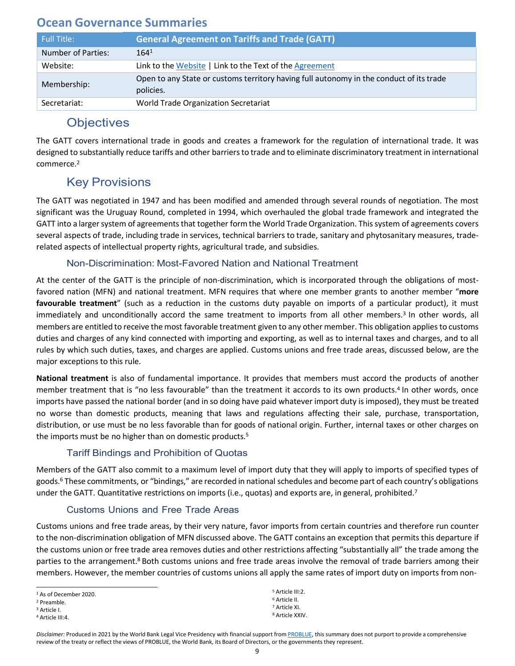<span id="page-10-0"></span>

| Full Title:               | <b>General Agreement on Tariffs and Trade (GATT)</b>                                                 |
|---------------------------|------------------------------------------------------------------------------------------------------|
| <b>Number of Parties:</b> | 164 <sup>1</sup>                                                                                     |
| Website:                  | Link to the Website   Link to the Text of the Agreement                                              |
| Membership:               | Open to any State or customs territory having full autonomy in the conduct of its trade<br>policies. |
| Secretariat:              | World Trade Organization Secretariat                                                                 |

## **Objectives**

The GATT covers international trade in goods and creates a framework for the regulation of international trade. It was designed to substantially reduce tariffs and other barriersto trade and to eliminate discriminatory treatment in international commerce.2

## Key Provisions

The GATT was negotiated in 1947 and has been modified and amended through several rounds of negotiation. The most significant was the Uruguay Round, completed in 1994, which overhauled the global trade framework and integrated the GATT into a larger system of agreements that together form the World Trade Organization. This system of agreements covers several aspects of trade, including trade in services, technical barriers to trade, sanitary and phytosanitary measures, traderelated aspects of intellectual property rights, agricultural trade, and subsidies.

#### Non-Discrimination: Most-Favored Nation and National Treatment

At the center of the GATT is the principle of non-discrimination, which is incorporated through the obligations of mostfavored nation (MFN) and national treatment. MFN requires that where one member grants to another member "**more favourable treatment**" (such as a reduction in the customs duty payable on imports of a particular product), it must immediately and unconditionally accord the same treatment to imports from all other members.<sup>3</sup> In other words, all members are entitled to receive the most favorable treatment given to any other member. This obligation applies to customs duties and charges of any kind connected with importing and exporting, as well as to internal taxes and charges, and to all rules by which such duties, taxes, and charges are applied. Customs unions and free trade areas, discussed below, are the major exceptions to this rule.

**National treatment** is also of fundamental importance. It provides that members must accord the products of another member treatment that is "no less favourable" than the treatment it accords to its own products.4 In other words, once imports have passed the national border (and in so doing have paid whatever import duty is imposed), they must be treated no worse than domestic products, meaning that laws and regulations affecting their sale, purchase, transportation, distribution, or use must be no less favorable than for goods of national origin. Further, internal taxes or other charges on the imports must be no higher than on domestic products.5

#### Tariff Bindings and Prohibition of Quotas

Members of the GATT also commit to a maximum level of import duty that they will apply to imports of specified types of goods.6 These commitments, or "bindings," are recorded in national schedules and become part of each country's obligations under the GATT. Quantitative restrictions on imports (i.e., quotas) and exports are, in general, prohibited.<sup>7</sup>

#### Customs Unions and Free Trade Areas

Customs unions and free trade areas, by their very nature, favor imports from certain countries and therefore run counter to the non-discrimination obligation of MFN discussed above. The GATT contains an exception that permits this departure if the customs union or free trade area removes duties and other restrictions affecting "substantially all" the trade among the parties to the arrangement.<sup>8</sup> Both customs unions and free trade areas involve the removal of trade barriers among their members. However, the member countries of customs unions all apply the same rates of import duty on imports from non-

 Article III:2. Article II. Article XI. Article XXIV.

<sup>1</sup> As of December 2020.

<sup>2</sup> Preamble.

<sup>3</sup> Article I.

<sup>4</sup> Article III:4.

Disclaimer: Produced in 2021 by the World Bank Legal Vice Presidency with financial support from [PROBLUE, t](http://worldbank.org/problue)his summary does not purport to provide a comprehensive review of the treaty or reflect the views of PROBLUE, the World Bank, its Board of Directors, or the governments they represent.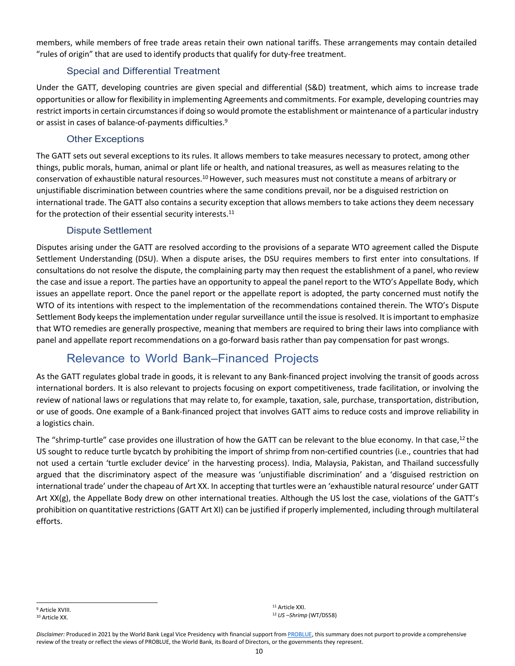members, while members of free trade areas retain their own national tariffs. These arrangements may contain detailed "rules of origin" that are used to identify products that qualify for duty-free treatment.

#### Special and Differential Treatment

Under the GATT, developing countries are given special and differential (S&D) treatment, which aims to increase trade opportunities or allow for flexibility in implementing Agreements and commitments. For example, developing countries may restrict imports in certain circumstances if doing so would promote the establishment or maintenance of a particular industry or assist in cases of balance-of-payments difficulties.9

#### Other Exceptions

The GATT sets out several exceptions to its rules. It allows members to take measures necessary to protect, among other things, public morals, human, animal or plant life or health, and national treasures, as well as measures relating to the conservation of exhaustible natural resources.10 However, such measures must not constitute a means of arbitrary or unjustifiable discrimination between countries where the same conditions prevail, nor be a disguised restriction on international trade. The GATT also contains a security exception that allows membersto take actions they deem necessary for the protection of their essential security interests.<sup>11</sup>

#### Dispute Settlement

Disputes arising under the GATT are resolved according to the provisions of a separate WTO agreement called the Dispute Settlement Understanding (DSU). When a dispute arises, the DSU requires members to first enter into consultations. If consultations do not resolve the dispute, the complaining party may then request the establishment of a panel, who review the case and issue a report. The parties have an opportunity to appeal the panel report to the WTO's Appellate Body, which issues an appellate report. Once the panel report or the appellate report is adopted, the party concerned must notify the WTO of its intentions with respect to the implementation of the recommendations contained therein. The WTO's Dispute Settlement Body keeps the implementation under regular surveillance until the issue is resolved. It is important to emphasize that WTO remedies are generally prospective, meaning that members are required to bring their laws into compliance with panel and appellate report recommendations on a go-forward basis rather than pay compensation for past wrongs.

## Relevance to World Bank–Financed Projects

As the GATT regulates global trade in goods, it is relevant to any Bank-financed project involving the transit of goods across international borders. It is also relevant to projects focusing on export competitiveness, trade facilitation, or involving the review of national laws or regulations that may relate to, for example, taxation, sale, purchase, transportation, distribution, or use of goods. One example of a Bank-financed project that involves GATT aims to reduce costs and improve reliability in a logistics chain.

The "shrimp-turtle" case provides one illustration of how the GATT can be relevant to the blue economy. In that case,<sup>12</sup> the US sought to reduce turtle bycatch by prohibiting the import of shrimp from non-certified countries (i.e., countries that had not used a certain 'turtle excluder device' in the harvesting process). India, Malaysia, Pakistan, and Thailand successfully argued that the discriminatory aspect of the measure was 'unjustifiable discrimination' and a 'disguised restriction on international trade' under the chapeau of Art XX. In accepting that turtles were an 'exhaustible natural resource' under GATT Art XX(g), the Appellate Body drew on other international treaties. Although the US lost the case, violations of the GATT's prohibition on quantitative restrictions (GATT Art XI) can be justified if properly implemented, including through multilateral efforts.

<sup>11</sup> Article XXI. <sup>12</sup> *US –Shrimp* (WT/DS58)

<sup>9</sup> Article XVIII. <sup>10</sup> Article XX.

Disclaimer: Produced in 2021 by the World Bank Legal Vice Presidency with financial support from [PROBLUE, t](http://worldbank.org/problue)his summary does not purport to provide a comprehensive review of the treaty or reflect the views of PROBLUE, the World Bank, its Board of Directors, or the governments they represent.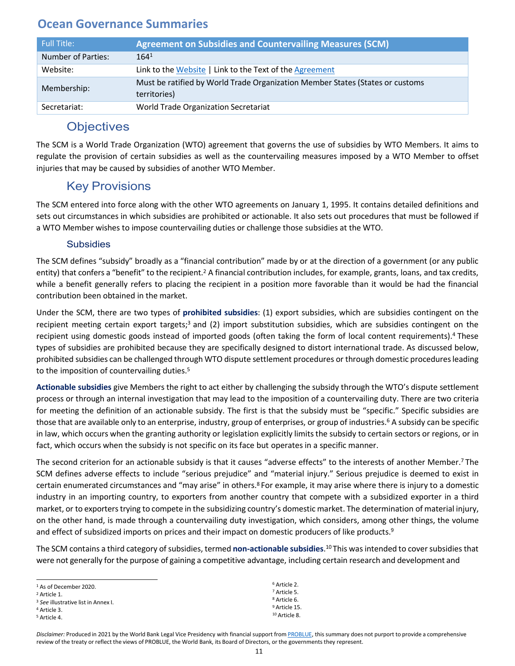<span id="page-12-0"></span>

| <b>Full Title:</b> | <b>Agreement on Subsidies and Countervailing Measures (SCM)</b>               |
|--------------------|-------------------------------------------------------------------------------|
| Number of Parties: | 164 <sup>1</sup>                                                              |
| Website:           | Link to the Website   Link to the Text of the Agreement                       |
| Membership:        | Must be ratified by World Trade Organization Member States (States or customs |
|                    | territories)                                                                  |
| Secretariat:       | World Trade Organization Secretariat                                          |

## **Objectives**

The SCM is a World Trade Organization (WTO) agreement that governs the use of subsidies by WTO Members. It aims to regulate the provision of certain subsidies as well as the countervailing measures imposed by a WTO Member to offset injuries that may be caused by subsidies of another WTO Member.

## Key Provisions

The SCM entered into force along with the other WTO agreements on January 1, 1995. It contains detailed definitions and sets out circumstances in which subsidies are prohibited or actionable. It also sets out procedures that must be followed if a WTO Member wishes to impose countervailing duties or challenge those subsidies at the WTO.

#### Subsidies

The SCM defines "subsidy" broadly as a "financial contribution" made by or at the direction of a government (or any public entity) that confers a "benefit" to the recipient.<sup>2</sup> A financial contribution includes, for example, grants, loans, and tax credits, while a benefit generally refers to placing the recipient in a position more favorable than it would be had the financial contribution been obtained in the market.

Under the SCM, there are two types of **prohibited subsidies**: (1) export subsidies, which are subsidies contingent on the recipient meeting certain export targets;<sup>3</sup> and (2) import substitution subsidies, which are subsidies contingent on the recipient using domestic goods instead of imported goods (often taking the form of local content requirements).4 These types of subsidies are prohibited because they are specifically designed to distort international trade. As discussed below, prohibited subsidies can be challenged through WTO dispute settlement procedures or through domestic proceduresleading to the imposition of countervailing duties.<sup>5</sup>

**Actionable subsidies** give Members the right to act either by challenging the subsidy through the WTO's dispute settlement process or through an internal investigation that may lead to the imposition of a countervailing duty. There are two criteria for meeting the definition of an actionable subsidy. The first is that the subsidy must be "specific." Specific subsidies are those that are available only to an enterprise, industry, group of enterprises, or group of industries.<sup>6</sup> A subsidy can be specific in law, which occurs when the granting authority or legislation explicitly limits the subsidy to certain sectors or regions, or in fact, which occurs when the subsidy is not specific on itsface but operates in a specific manner.

The second criterion for an actionable subsidy is that it causes "adverse effects" to the interests of another Member.7 The SCM defines adverse effects to include "serious prejudice" and "material injury." Serious prejudice is deemed to exist in certain enumerated circumstances and "may arise" in others.8 For example, it may arise where there is injury to a domestic industry in an importing country, to exporters from another country that compete with a subsidized exporter in a third market, or to exporterstrying to compete in the subsidizing country's domestic market. The determination of material injury, on the other hand, is made through a countervailing duty investigation, which considers, among other things, the volume and effect of subsidized imports on prices and their impact on domestic producers of like products.<sup>9</sup>

The SCM contains a third category of subsidies, termed **non-actionable subsidies**.<sup>10</sup>This was intended to cover subsidies that were not generally for the purpose of gaining a competitive advantage, including certain research and development and

> Article 2. Article 5. Article 6. Article 15. Article 8.

| $1$ As of December 2020.                       |  |
|------------------------------------------------|--|
| <sup>2</sup> Article 1.                        |  |
| <sup>3</sup> See illustrative list in Annex I. |  |
| <sup>4</sup> Article 3.                        |  |
| <sup>5</sup> Article 4.                        |  |

Disclaimer: Produced in 2021 by the World Bank Legal Vice Presidency with financial support from [PROBLUE, t](http://worldbank.org/problue)his summary does not purport to provide a comprehensive review of the treaty or reflect the views of PROBLUE, the World Bank, its Board of Directors, or the governments they represent.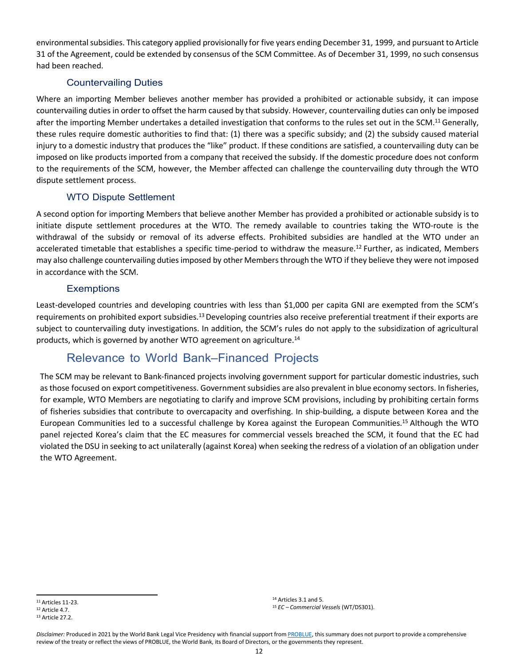environmental subsidies. This category applied provisionally for five years ending December 31, 1999, and pursuant to Article 31 of the Agreement, could be extended by consensus of the SCM Committee. As of December 31, 1999, no such consensus had been reached.

#### Countervailing Duties

Where an importing Member believes another member has provided a prohibited or actionable subsidy, it can impose countervailing duties in order to offset the harm caused by that subsidy. However, countervailing duties can only be imposed after the importing Member undertakes a detailed investigation that conforms to the rules set out in the SCM.<sup>11</sup> Generally, these rules require domestic authorities to find that: (1) there was a specific subsidy; and (2) the subsidy caused material injury to a domestic industry that produces the "like" product. If these conditions are satisfied, a countervailing duty can be imposed on like products imported from a company that received the subsidy. If the domestic procedure does not conform to the requirements of the SCM, however, the Member affected can challenge the countervailing duty through the WTO dispute settlement process.

#### WTO Dispute Settlement

A second option for importing Members that believe another Member has provided a prohibited or actionable subsidy is to initiate dispute settlement procedures at the WTO. The remedy available to countries taking the WTO-route is the withdrawal of the subsidy or removal of its adverse effects. Prohibited subsidies are handled at the WTO under an accelerated timetable that establishes a specific time-period to withdraw the measure.<sup>12</sup> Further, as indicated, Members may also challenge countervailing dutiesimposed by other Membersthrough the WTO if they believe they were not imposed in accordance with the SCM.

#### **Exemptions**

Least-developed countries and developing countries with less than \$1,000 per capita GNI are exempted from the SCM's requirements on prohibited export subsidies.13 Developing countries also receive preferential treatment if their exports are subject to countervailing duty investigations. In addition, the SCM's rules do not apply to the subsidization of agricultural products, which is governed by another WTO agreement on agriculture.14

## Relevance to World Bank–Financed Projects

The SCM may be relevant to Bank-financed projects involving government support for particular domestic industries, such as those focused on export competitiveness. Government subsidies are also prevalent in blue economy sectors. In fisheries, for example, WTO Members are negotiating to clarify and improve SCM provisions, including by prohibiting certain forms of fisheries subsidies that contribute to overcapacity and overfishing. In ship-building, a dispute between Korea and the European Communities led to a successful challenge by Korea against the European Communities.15 Although the WTO panel rejected Korea's claim that the EC measures for commercial vessels breached the SCM, it found that the EC had violated the DSU in seeking to act unilaterally (against Korea) when seeking the redress of a violation of an obligation under the WTO Agreement.

<sup>14</sup> Articles 3.1 and 5. <sup>15</sup> *EC – Commercial Vessels* (WT/DS301).

<sup>11</sup> Articles 11-23. <sup>12</sup> Article 4.7.

<sup>13</sup> Article 27.2.

Disclaimer: Produced in 2021 by the World Bank Legal Vice Presidency with financial support from [PROBLUE, t](http://worldbank.org/problue)his summary does not purport to provide a comprehensive review of the treaty or reflect the views of PROBLUE, the World Bank, its Board of Directors, or the governments they represent.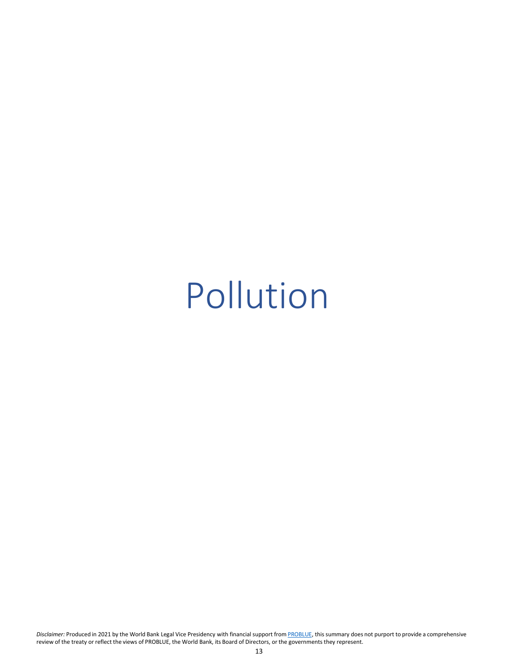## <span id="page-14-0"></span>Pollution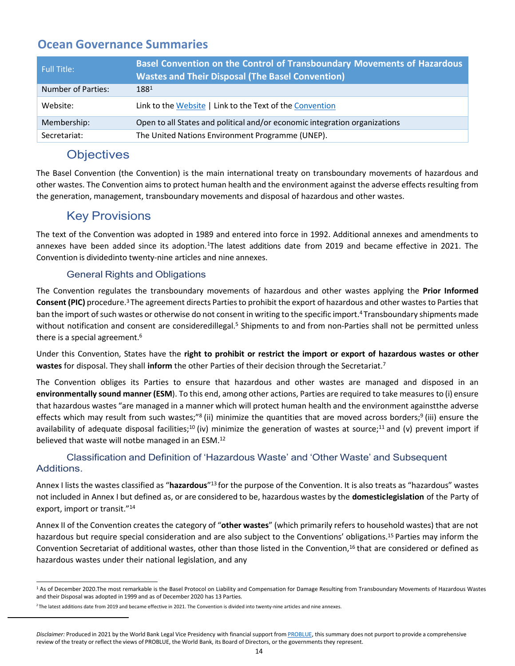<span id="page-15-0"></span>

| <b>Full Title:</b> | Basel Convention on the Control of Transboundary Movements of Hazardous<br><b>Wastes and Their Disposal (The Basel Convention)</b> |
|--------------------|------------------------------------------------------------------------------------------------------------------------------------|
| Number of Parties: | 1881                                                                                                                               |
| Website:           | Link to the Website   Link to the Text of the Convention                                                                           |
| Membership:        | Open to all States and political and/or economic integration organizations                                                         |
| Secretariat:       | The United Nations Environment Programme (UNEP).                                                                                   |

## **Objectives**

The Basel Convention (the Convention) is the main international treaty on transboundary movements of hazardous and other wastes. The Convention aims to protect human health and the environment against the adverse effects resulting from the generation, management, transboundary movements and disposal of hazardous and other wastes.

## Key Provisions

The text of the Convention was adopted in 1989 and entered into force in 1992. Additional annexes and amendments to annexes have been added since its adoption.<sup>1</sup>The latest additions date from 2019 and became effective in 2021. The Convention is dividedinto twenty-nine articles and nine annexes.

#### General Rights and Obligations

The Convention regulates the transboundary movements of hazardous and other wastes applying the **Prior Informed Consent (PIC)** procedure.3 The agreement directs Parties to prohibit the export of hazardous and other wastes to Parties that ban the import of such wastes or otherwise do not consent in writing to the specific import. 4 Transboundary shipments made without notification and consent are consideredillegal.<sup>5</sup> Shipments to and from non-Parties shall not be permitted unless there is a special agreement.<sup>6</sup>

Under this Convention, States have the **right to prohibit or restrict the import or export of hazardous wastes or other wastes** for disposal. They shall **inform** the other Parties of their decision through the Secretariat.7

The Convention obliges its Parties to ensure that hazardous and other wastes are managed and disposed in an **environmentally sound manner (ESM**). To this end, among other actions, Parties are required to take measures to (i) ensure that hazardous wastes "are managed in a manner which will protect human health and the environment againstthe adverse effects which may result from such wastes;"<sup>8</sup> (ii) minimize the quantities that are moved across borders;<sup>9</sup> (iii) ensure the availability of adequate disposal facilities;<sup>10</sup> (iv) minimize the generation of wastes at source;<sup>11</sup> and (v) prevent import if believed that waste will notbe managed in an ESM.<sup>12</sup>

#### Classification and Definition of 'Hazardous Waste' and 'Other Waste' and Subsequent Additions.

Annex I lists the wastes classified as "**hazardous**"13 for the purpose of the Convention. It is also treats as "hazardous" wastes not included in Annex I but defined as, or are considered to be, hazardous wastes by the **domestic legislation** of the Party of export, import or transit."14

Annex II of the Convention creates the category of "**other wastes**" (which primarily refers to household wastes) that are not hazardous but require special consideration and are also subject to the Conventions' obligations. 15 Parties may inform the Convention Secretariat of additional wastes, other than those listed in the Convention,16 that are considered or defined as hazardous wastes under their national legislation, and any

<sup>&</sup>lt;sup>1</sup> As of December 2020.The most remarkable is the Basel Protocol on Liability and Compensation for Damage Resulting from Transboundary Movements of Hazardous Wastes and their Disposal was adopted in 1999 and as of December 2020 has 13 Parties.

 $2$  The latest additions date from 2019 and became effective in 2021. The Convention is divided into twenty-nine articles and nine annexes.

<span id="page-15-1"></span>Disclaimer: Produced in 2021 by the World Bank Legal Vice Presidency with financial support from [PROBLUE, t](http://worldbank.org/problue)his summary does not purport to provide a comprehensive review of the treaty or reflect the views of PROBLUE, the World Bank, its Board of Directors, or the governments they represent.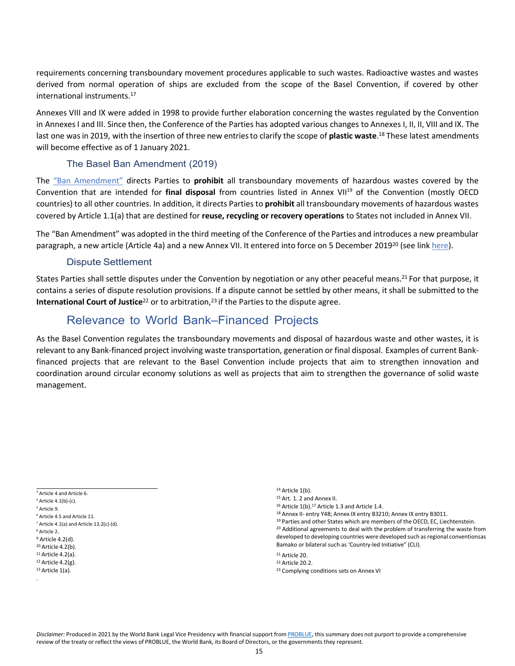requirements concerning transboundary movement procedures applicable to such wastes. Radioactive wastes and wastes derived from normal operation of ships are excluded from the scope of the Basel Convention, if covered by other international instruments. 17

Annexes VIII and IX were added in 1998 to provide further elaboration concerning the wastes regulated by the Convention in AnnexesI and III. Since then, the Conference of the Parties has adopted various changes to Annexes I, II, II, VIII and IX. The last one was in 2019, with the insertion of three new entries to clarify the scope of **plastic waste**.<sup>18</sup> These latest amendments will become effective as of 1 January 2021.

#### The Basel Ban Amendment (2019)

The "Ban Amendment" directs Parties to **prohibit** all transboundary movements of hazardous wastes covered by the Convention that are intended for final disposal from countries listed in Annex VII<sup>19</sup> of the Convention (mostly OECD countries) to all other countries. In addition, it directs Parties to **prohibit** all transboundary movements of hazardous wastes covered by Article 1.1(a) that are destined for **reuse, recycling or recovery operations** to States not included in Annex VII.

The "Ban Amendment" was adopted in the third meeting of the Conference of the Parties and introduces a new preambular paragraph, a new article (Article 4a) and a new Annex VII. It entered into force on 5 December 2019<sup>20</sup> (see link [here\)](http://www.basel.int/Implementation/LegalMatters/BanAmendment/Overview/tabid/1484/Default.aspx).

#### Dispute Settlement

States Parties shall settle disputes under the Convention by negotiation or any other peaceful means.<sup>21</sup> For that purpose, it contains a series of dispute resolution provisions. If a dispute cannot be settled by other means, it shall be submitted to the **International Court of Justice**<sup>22</sup> or to arbitration, <sup>23</sup> if the Parties to the dispute agree.

#### Relevance to World Bank–Financed Projects

As the Basel Convention regulates the transboundary movements and disposal of hazardous waste and other wastes, it is relevant to any Bank-financed project involving waste transportation, generation or final disposal. Examples of current Bankfinanced projects that are relevant to the Basel Convention include projects that aim to strengthen innovation and coordination around circular economy solutions as well as projects that aim to strengthen the governance of solid waste management.

 $4$  Article 4.1(b)-(c). <sup>5</sup> Article 9.

- <sup>9</sup> Article 4.2(d).
- <sup>10</sup> Article 4.2(b).
- <sup>11</sup> Article 4.2(a).
- $12$  Article 4.2(g). <sup>13</sup> Article 1(a).
- .
- <sup>15</sup> Art. 1. 2 and Annex II.
- <sup>16</sup> Article 1(b).17 Article 1.3 and Article 1.4.
- 18 Annex II- entry Y48; Annex IX entry B3210; Annex IX entry B3011.
- <sup>19</sup> Parties and other States which are members of the OECD, EC, Liechtenstein. <sup>20</sup> Additional agreements to deal with the problem of transferring the waste from developed to developing countries were developed such as regional conventionsas Bamako or bilateral such as 'Country-led Initiative" (CLI).

<sup>22</sup> Article 20.2.

<sup>&</sup>lt;sup>3</sup> Article 4 and Article 6.

<sup>6</sup> Article 4.5 and Article 11.  $7$  Article 4.1(a) and Article 13.2(c)-(d).

<sup>8</sup> Article 2.

<sup>14</sup> Article 1(b).

<sup>21</sup> Article 20.

<sup>23</sup> Complying conditions sets on Annex VI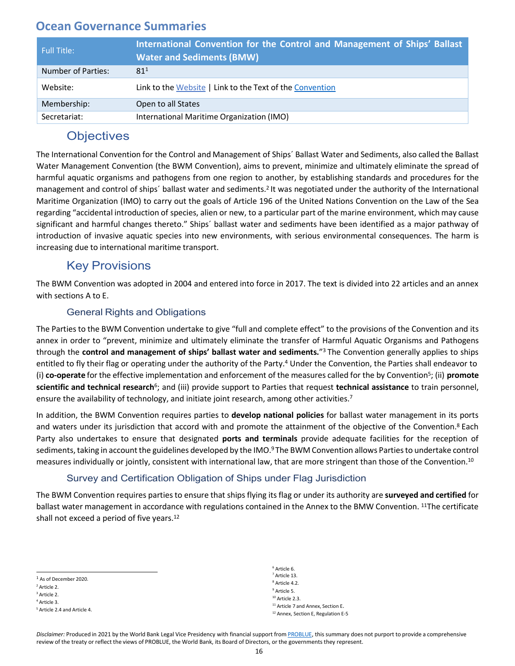<span id="page-17-0"></span>

| Full Title:        | International Convention for the Control and Management of Ships' Ballast<br><b>Water and Sediments (BMW)</b> |
|--------------------|---------------------------------------------------------------------------------------------------------------|
| Number of Parties: | 81 <sup>1</sup>                                                                                               |
| Website:           | Link to the Website   Link to the Text of the Convention                                                      |
| Membership:        | Open to all States                                                                                            |
| Secretariat:       | International Maritime Organization (IMO)                                                                     |

## **Objectives**

The International Convention for the Control and Management of Ships´ Ballast Water and Sediments, also called the Ballast Water Management Convention (the BWM Convention), aims to prevent, minimize and ultimately eliminate the spread of harmful aquatic organisms and pathogens from one region to another, by establishing standards and procedures for the management and control of ships´ ballast water and sediments.2 It was negotiated under the authority of the International Maritime Organization (IMO) to carry out the goals of Article 196 of the United Nations Convention on the Law of the Sea regarding "accidental introduction of species, alien or new, to a particular part of the marine environment, which may cause significant and harmful changes thereto." Ships´ ballast water and sediments have been identified as a major pathway of introduction of invasive aquatic species into new environments, with serious environmental consequences. The harm is increasing due to international maritime transport.

## Key Provisions

The BWM Convention was adopted in 2004 and entered into force in 2017. The text is divided into 22 articles and an annex with sections A to E.

#### General Rights and Obligations

The Parties to the BWM Convention undertake to give "full and complete effect" to the provisions of the Convention and its annex in order to "prevent, minimize and ultimately eliminate the transfer of Harmful Aquatic Organisms and Pathogens through the **control and management of ships' ballast water and sediments.**"3 The Convention generally applies to ships entitled to fly their flag or operating under the authority of the Party.<sup>4</sup> Under the Convention, the Parties shall endeavor to (i) **co-operate** for the effective implementation and enforcement of the measures called for the by Convention5; (ii) **promote scientific and technical research**6; and (iii) provide support to Parties that request **technical assistance** to train personnel, ensure the availability of technology, and initiate joint research, among other activities.<sup>7</sup>

In addition, the BWM Convention requires parties to **develop national policies** for ballast water management in its ports and waters under its jurisdiction that accord with and promote the attainment of the objective of the Convention.<sup>8</sup> Each Party also undertakes to ensure that designated **ports and terminals** provide adequate facilities for the reception of sediments, taking in account the guidelines developed by the IMO.<sup>9</sup> The BWM Convention allows Parties to undertake control measures individually or jointly, consistent with international law, that are more stringent than those of the Convention.10

#### Survey and Certification Obligation of Ships under Flag Jurisdiction

The BWM Convention requires parties to ensure that ships flying its flag or under its authority are **surveyed and certified** for ballast water management in accordance with regulations contained in the Annex to the BMW Convention. <sup>11</sup>The certificate shall not exceed a period of five years.<sup>12</sup>

<sup>3</sup> Article 2. <sup>4</sup> Article 3.

 $6$  Article 6.  $7$  Article 13. <sup>8</sup> Article 4.2. <sup>9</sup> Article 5. <sup>10</sup> Article 2.3. <sup>11</sup> Article 7 and Annex, Section E. <sup>12</sup> Annex, Section E, Regulation E-5

<sup>1</sup> As of December 2020.

<sup>2</sup> Article 2.

<sup>5</sup> Article 2.4 and Article 4.

Disclaimer: Produced in 2021 by the World Bank Legal Vice Presidency with financial support from [PROBLUE, t](http://worldbank.org/problue)his summary does not purport to provide a comprehensive review of the treaty or reflect the views of PROBLUE, the World Bank, its Board of Directors, or the governments they represent.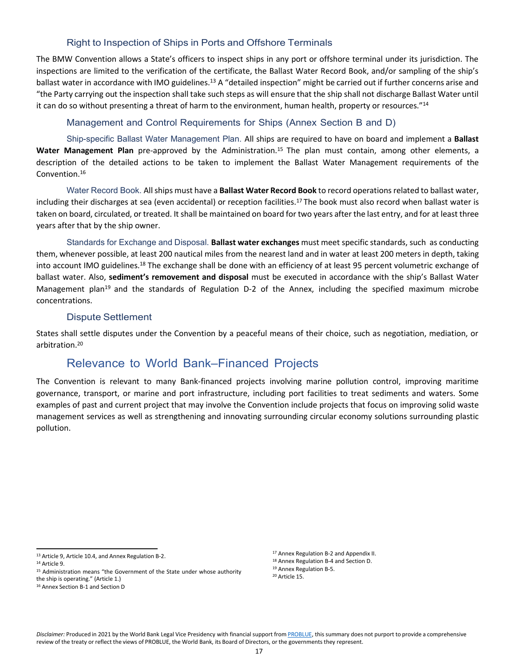#### Right to Inspection of Ships in Ports and Offshore Terminals

The BMW Convention allows a State's officers to inspect ships in any port or offshore terminal under its jurisdiction. The inspections are limited to the verification of the certificate, the Ballast Water Record Book, and/or sampling of the ship's ballast water in accordance with IMO guidelines.<sup>13</sup> A "detailed inspection" might be carried out if further concerns arise and "the Party carrying out the inspection shall take such steps as will ensure that the ship shall not discharge Ballast Water until it can do so without presenting a threat of harm to the environment, human health, property or resources."<sup>14</sup>

#### Management and Control Requirements for Ships (Annex Section B and D)

Ship-specific Ballast Water Management Plan. All ships are required to have on board and implement a **Ballast Water Management Plan** pre-approved by the Administration.15 The plan must contain, among other elements, a description of the detailed actions to be taken to implement the Ballast Water Management requirements of the Convention.16

Water Record Book. All ships must have a **Ballast Water Record Book** to record operations related to ballast water, including their discharges at sea (even accidental) or reception facilities.17 The book must also record when ballast water is taken on board, circulated, or treated. It shall be maintained on board for two years after the last entry, and for at least three years after that by the ship owner.

Standards for Exchange and Disposal. **Ballast water exchanges** must meet specific standards, such as conducting them, whenever possible, at least 200 nautical miles from the nearest land and in water at least 200 meters in depth, taking into account IMO guidelines.18 The exchange shall be done with an efficiency of at least 95 percent volumetric exchange of ballast water. Also, **sediment's removement and disposal** must be executed in accordance with the ship's Ballast Water Management plan<sup>19</sup> and the standards of Regulation D-2 of the Annex, including the specified maximum microbe concentrations.

#### Dispute Settlement

States shall settle disputes under the Convention by a peaceful means of their choice, such as negotiation, mediation, or arbitration.20

#### Relevance to World Bank–Financed Projects

The Convention is relevant to many Bank-financed projects involving marine pollution control, improving maritime governance, transport, or marine and port infrastructure, including port facilities to treat sediments and waters. Some examples of past and current project that may involve the Convention include projects that focus on improving solid waste management services as well as strengthening and innovating surrounding circular economy solutions surrounding plastic pollution.

<sup>18</sup> Annex Regulation B-4 and Section D.

<sup>13</sup> Article 9, Article 10.4, and Annex Regulation B-2.

<sup>14</sup> Article 9.

<sup>15</sup> Administration means "the Government of the State under whose authority the ship is operating." (Article 1.)

<sup>16</sup> Annex Section B-1 and Section D

<sup>17</sup> Annex Regulation B-2 and Appendix II.

<sup>19</sup> Annex Regulation B-5.

<sup>20</sup> Article 15.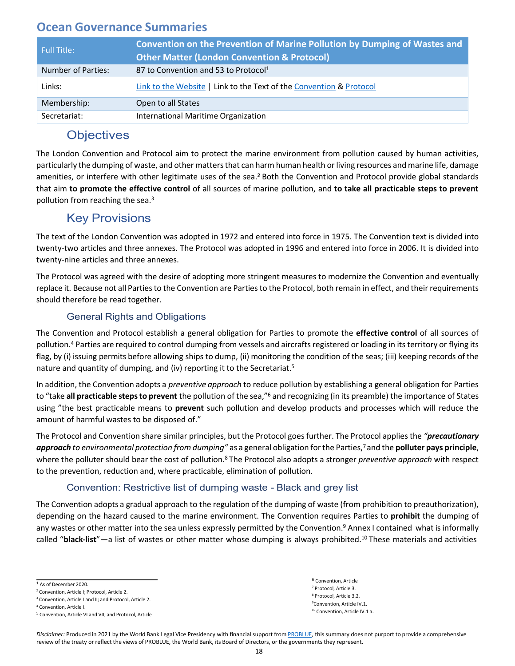<span id="page-19-0"></span>

| Full Title:               | Convention on the Prevention of Marine Pollution by Dumping of Wastes and<br><b>Other Matter (London Convention &amp; Protocol)</b> |
|---------------------------|-------------------------------------------------------------------------------------------------------------------------------------|
| <b>Number of Parties:</b> | 87 to Convention and 53 to Protocol <sup>1</sup>                                                                                    |
| Links:                    | Link to the Website   Link to the Text of the Convention & Protocol                                                                 |
| Membership:               | Open to all States                                                                                                                  |
| Secretariat:              | International Maritime Organization                                                                                                 |

## **Objectives**

The London Convention and Protocol aim to protect the marine environment from pollution caused by human activities, particularly the dumping of waste, and other matters that can harm human health or living resources and marine life, damage amenities, or interfere with other legitimate uses of the sea.**<sup>2</sup>**Both the Convention and Protocol provide global standards that aim **to promote the effective control** of all sources of marine pollution, and **to take all practicable steps to prevent** pollution from reaching the sea.3

## Key Provisions

The text of the London Convention was adopted in 1972 and entered into force in 1975. The Convention text is divided into twenty-two articles and three annexes. The Protocol was adopted in 1996 and entered into force in 2006. It is divided into twenty-nine articles and three annexes.

The Protocol was agreed with the desire of adopting more stringent measures to modernize the Convention and eventually replace it. Because not all Partiesto the Convention are Partiesto the Protocol, both remain in effect, and their requirements should therefore be read together.

#### General Rights and Obligations

The Convention and Protocol establish a general obligation for Parties to promote the **effective control** of all sources of pollution.<sup>4</sup> Parties are required to control dumping from vessels and aircrafts registered or loading in its territory or flying its flag, by (i) issuing permits before allowing ships to dump, (ii) monitoring the condition of the seas; (iii) keeping records of the nature and quantity of dumping, and (iv) reporting it to the Secretariat.5

In addition, the Convention adopts a *preventive approach* to reduce pollution by establishing a general obligation for Parties to "take **all practicable stepsto prevent** the pollution of the sea,"6 and recognizing (in its preamble) the importance of States using "the best practicable means to **prevent** such pollution and develop products and processes which will reduce the amount of harmful wastes to be disposed of."

The Protocol and Convention share similar principles, but the Protocol goesfurther. The Protocol appliesthe *"precautionary approach to environmental protection from dumping"* as a general obligation for the Parties,7 and the **polluter pays principle**, where the polluter should bear the cost of pollution.8 The Protocol also adopts a stronger *preventive approach* with respect to the prevention, reduction and, where practicable, elimination of pollution.

#### Convention: Restrictive list of dumping waste - Black and grey list

The Convention adopts a gradual approach to the regulation of the dumping of waste (from prohibition to preauthorization), depending on the hazard caused to the marine environment. The Convention requires Parties to **prohibit** the dumping of any wastes or other matter into the sea unless expressly permitted by the Convention.<sup>9</sup> Annex I contained what is informally called "black-list"—a list of wastes or other matter whose dumping is always prohibited.<sup>10</sup> These materials and activities

<sup>6</sup> Convention, Article<br><sup>7</sup> Protocol, Article 3. <sup>8</sup> Protocol, Article 3.2. 9 Convention, Article IV.1. <sup>10</sup> Convention, Article IV.1 a.

<sup>1</sup> As of December 2020.

<sup>2</sup> Convention, Article I; Protocol, Article 2.

<sup>&</sup>lt;sup>3</sup> Convention, Article I and II; and Protocol, Article 2.

<sup>4</sup> Convention, Article I.

<sup>5</sup> Convention, Article VI and VII; and Protocol, Article

Disclaimer: Produced in 2021 by the World Bank Legal Vice Presidency with financial support from [PROBLUE, t](http://worldbank.org/problue)his summary does not purport to provide a comprehensive review of the treaty or reflect the views of PROBLUE, the World Bank, its Board of Directors, or the governments they represent.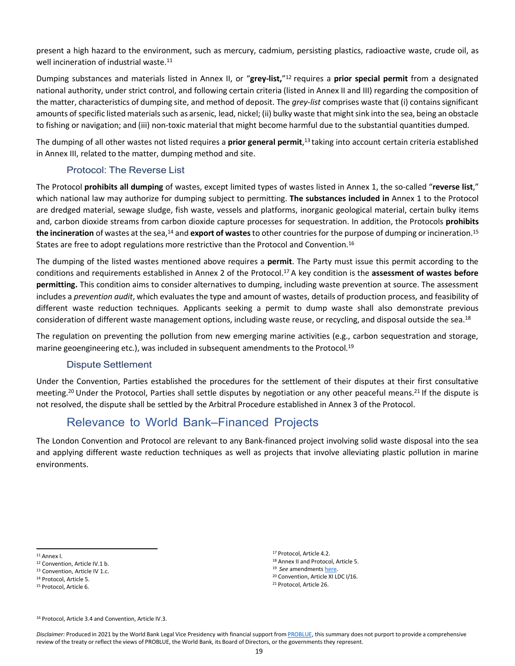present a high hazard to the environment, such as mercury, cadmium, persisting plastics, radioactive waste, crude oil, as well incineration of industrial waste.<sup>11</sup>

Dumping substances and materials listed in Annex II, or "**grey-list,**"12 requires a **prior special permit** from a designated national authority, under strict control, and following certain criteria (listed in Annex II and III) regarding the composition of the matter, characteristics of dumping site, and method of deposit. The *grey-list* comprises waste that (i) contains significant amounts of specific listed materials such as arsenic, lead, nickel; (ii) bulky waste that might sink into the sea, being an obstacle to fishing or navigation; and (iii) non-toxic material that might become harmful due to the substantial quantities dumped.

The dumping of all other wastes not listed requires a **prior general permit**, 13 taking into account certain criteria established in Annex III, related to the matter, dumping method and site.

#### Protocol: The Reverse List

The Protocol **prohibits all dumping** of wastes, except limited types of wastes listed in Annex 1, the so-called "**reverse list**," which national law may authorize for dumping subject to permitting. **The substances included in** Annex 1 to the Protocol are dredged material, sewage sludge, fish waste, vessels and platforms, inorganic geological material, certain bulky items and, carbon dioxide streams from carbon dioxide capture processes for sequestration. In addition, the Protocols **prohibits the incineration** of wastes at the sea,14 and **export of wastes**to other countriesfor the purpose of dumping or incineration.15 States are free to adopt regulations more restrictive than the Protocol and Convention.<sup>16</sup>

The dumping of the listed wastes mentioned above requires a **permit**. The Party must issue this permit according to the conditions and requirements established in Annex 2 of the Protocol.17 A key condition is the **assessment of wastes before permitting.** This condition aims to consider alternatives to dumping, including waste prevention at source. The assessment includes a *prevention audit*, which evaluates the type and amount of wastes, details of production process, and feasibility of different waste reduction techniques. Applicants seeking a permit to dump waste shall also demonstrate previous consideration of different waste management options, including waste reuse, or recycling, and disposal outside the sea.<sup>18</sup>

The regulation on preventing the pollution from new emerging marine activities (e.g., carbon sequestration and storage, marine geoengineering etc.), was included in subsequent amendments to the Protocol.19

#### Dispute Settlement

Under the Convention, Parties established the procedures for the settlement of their disputes at their first consultative meeting.20 Under the Protocol, Parties shall settle disputes by negotiation or any other peaceful means.21 If the dispute is not resolved, the dispute shall be settled by the Arbitral Procedure established in Annex 3 of the Protocol.

## Relevance to World Bank–Financed Projects

The London Convention and Protocol are relevant to any Bank-financed project involving solid waste disposal into the sea and applying different waste reduction techniques as well as projects that involve alleviating plastic pollution in marine environments.

 Protocol, Article 4.2. Annex II and Protocol, Article 5. 19 See amendments [here.](https://www.imo.org/en/KnowledgeCentre/IndexofIMOResolutions/Pages/LDC-LC-LP.aspx) Convention, Article XI LDC I/16. Protocol, Article 26.

<sup>16</sup> Protocol, Article 3.4 and Convention, Article IV.3.

<sup>11</sup> Annex I.

<sup>12</sup> Convention, Article IV.1 b.

<sup>13</sup> Convention. Article IV 1.c.

<sup>14</sup> Protocol, Article 5.

<sup>15</sup> Protocol, Article 6.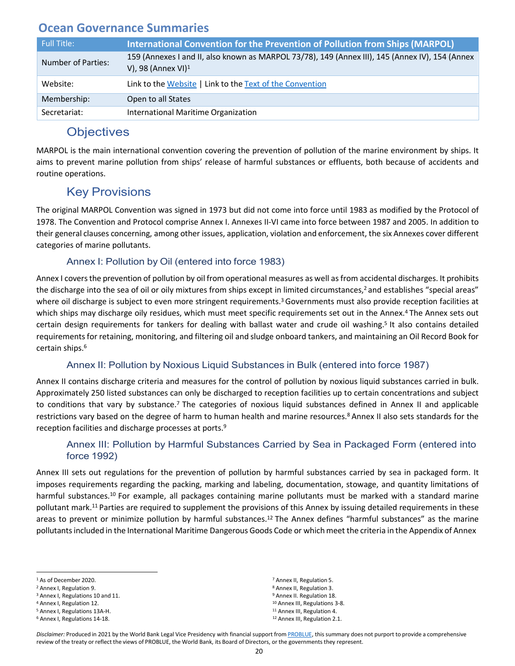<span id="page-21-0"></span>

| Full Title:        | International Convention for the Prevention of Pollution from Ships (MARPOL)                                             |
|--------------------|--------------------------------------------------------------------------------------------------------------------------|
| Number of Parties: | 159 (Annexes I and II, also known as MARPOL 73/78), 149 (Annex III), 145 (Annex IV), 154 (Annex<br>V), 98 (Annex VI) $1$ |
| Website:           | Link to the Website   Link to the Text of the Convention                                                                 |
| Membership:        | Open to all States                                                                                                       |
| Secretariat:       | International Maritime Organization                                                                                      |

## **Objectives**

MARPOL is the main international convention covering the prevention of pollution of the marine environment by ships. It aims to prevent marine pollution from ships' release of harmful substances or effluents, both because of accidents and routine operations.

## Key Provisions

The original MARPOL Convention was signed in 1973 but did not come into force until 1983 as modified by the Protocol of 1978. The Convention and Protocol comprise Annex I. Annexes II-VI came into force between 1987 and 2005. In addition to their general clauses concerning, among other issues, application, violation and enforcement, the six Annexes cover different categories of marine pollutants.

#### Annex I: Pollution by Oil (entered into force 1983)

Annex I covers the prevention of pollution by oil from operational measures as well as from accidental discharges. It prohibits the discharge into the sea of oil or oily mixtures from ships except in limited circumstances,<sup>2</sup> and establishes "special areas" where oil discharge is subject to even more stringent requirements.<sup>3</sup> Governments must also provide reception facilities at which ships may discharge oily residues, which must meet specific requirements set out in the Annex.<sup>4</sup> The Annex sets out certain design requirements for tankers for dealing with ballast water and crude oil washing.5 It also contains detailed requirements for retaining, monitoring, and filtering oil and sludge onboard tankers, and maintaining an Oil Record Book for certain ships.6

#### Annex II: Pollution by Noxious Liquid Substances in Bulk (entered into force 1987)

Annex II contains discharge criteria and measures for the control of pollution by noxious liquid substances carried in bulk. Approximately 250 listed substances can only be discharged to reception facilities up to certain concentrations and subject to conditions that vary by substance.<sup>7</sup> The categories of noxious liquid substances defined in Annex II and applicable restrictions vary based on the degree of harm to human health and marine resources.8 Annex II also sets standards for the reception facilities and discharge processes at ports.9

#### Annex III: Pollution by Harmful Substances Carried by Sea in Packaged Form (entered into force 1992)

Annex III sets out regulations for the prevention of pollution by harmful substances carried by sea in packaged form. It imposes requirements regarding the packing, marking and labeling, documentation, stowage, and quantity limitations of harmful substances.<sup>10</sup> For example, all packages containing marine pollutants must be marked with a standard marine pollutant mark.11 Parties are required to supplement the provisions of this Annex by issuing detailed requirements in these areas to prevent or minimize pollution by harmful substances.12 The Annex defines "harmful substances" as the marine pollutants included in the International Maritime Dangerous Goods Code or which meet the criteria in the Appendix of Annex

 Annex I, Regulations 14-18. 12 Annex III, Regulation 2.1. Annex II, Regulation 5. Annex II, Regulation 3. Annex II. Regulation 18. Annex III, Regulations 3-8. Annex III, Regulation 4.

<sup>&</sup>lt;sup>1</sup> As of December 2020.

<sup>2</sup> Annex I, Regulation 9.

<sup>3</sup> Annex I, Regulations 10 and 11.

<sup>4</sup> Annex I, Regulation 12.

<sup>5</sup> Annex I, Regulations 13A-H.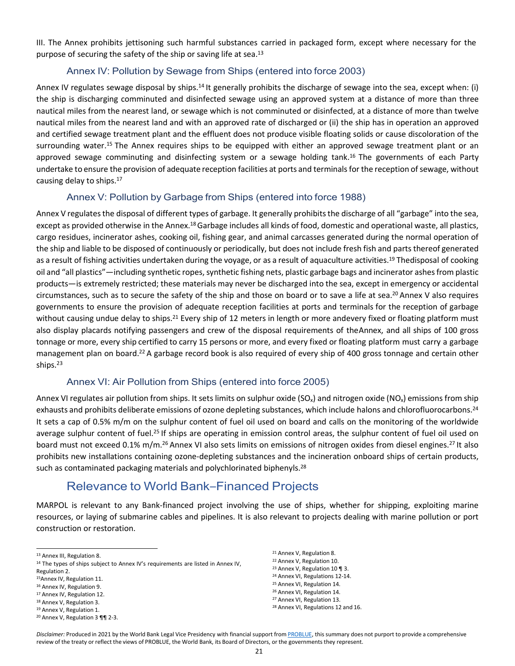III. The Annex prohibits jettisoning such harmful substances carried in packaged form, except where necessary for the purpose of securing the safety of the ship or saving life at sea.<sup>13</sup>

#### Annex IV: Pollution by Sewage from Ships (entered into force 2003)

Annex IV regulates sewage disposal by ships.<sup>14</sup> It generally prohibits the discharge of sewage into the sea, except when: (i) the ship is discharging comminuted and disinfected sewage using an approved system at a distance of more than three nautical miles from the nearest land, or sewage which is not comminuted or disinfected, at a distance of more than twelve nautical miles from the nearest land and with an approved rate of discharged or (ii) the ship has in operation an approved and certified sewage treatment plant and the effluent does not produce visible floating solids or cause discoloration of the surrounding water.<sup>15</sup> The Annex requires ships to be equipped with either an approved sewage treatment plant or an approved sewage comminuting and disinfecting system or a sewage holding tank.<sup>16</sup> The governments of each Party undertake to ensure the provision of adequate reception facilities at ports and terminalsfor the reception ofsewage, without causing delay to ships.17

#### Annex V: Pollution by Garbage from Ships (entered into force 1988)

Annex V regulates the disposal of different types of garbage. It generally prohibits the discharge of all "garbage" into the sea, except as provided otherwise in the Annex.18 Garbage includes all kinds of food, domestic and operational waste, all plastics, cargo residues, incinerator ashes, cooking oil, fishing gear, and animal carcasses generated during the normal operation of the ship and liable to be disposed of continuously or periodically, but does not include fresh fish and parts thereof generated as a result of fishing activities undertaken during the voyage, or as a result of aquaculture activities.<sup>19</sup> Thedisposal of cooking oil and "all plastics"—including synthetic ropes, synthetic fishing nets, plastic garbage bags and incinerator ashes from plastic products—is extremely restricted; these materials may never be discharged into the sea, except in emergency or accidental circumstances, such as to secure the safety of the ship and those on board or to save a life at sea.20 Annex V also requires governments to ensure the provision of adequate reception facilities at ports and terminals for the reception of garbage without causing undue delay to ships.<sup>21</sup> Every ship of 12 meters in length or more andevery fixed or floating platform must also display placards notifying passengers and crew of the disposal requirements of theAnnex, and all ships of 100 gross tonnage or more, every ship certified to carry 15 persons or more, and every fixed or floating platform must carry a garbage management plan on board.22 A garbage record book is also required of every ship of 400 gross tonnage and certain other ships.23

#### Annex VI: Air Pollution from Ships (entered into force 2005)

Annex VI regulates air pollution from ships. It sets limits on sulphur oxide (SO<sub>x</sub>) and nitrogen oxide (NO<sub>x</sub>) emissions from ship exhausts and prohibits deliberate emissions of ozone depleting substances, which include halons and chlorofluorocarbons.<sup>24</sup> It sets a cap of 0.5% m/m on the sulphur content of fuel oil used on board and calls on the monitoring of the worldwide average sulphur content of fuel.<sup>25</sup> If ships are operating in emission control areas, the sulphur content of fuel oil used on board must not exceed 0.1% m/m.<sup>26</sup> Annex VI also sets limits on emissions of nitrogen oxides from diesel engines.<sup>27</sup> It also prohibits new installations containing ozone-depleting substances and the incineration onboard ships of certain products, such as contaminated packaging materials and polychlorinated biphenyls.<sup>28</sup>

## Relevance to World Bank‒Financed Projects

MARPOL is relevant to any Bank-financed project involving the use of ships, whether for shipping, exploiting marine resources, or laying of submarine cables and pipelines. It is also relevant to projects dealing with marine pollution or port construction or restoration.

<sup>17</sup> Annex IV, Regulation 12.

 Annex V, Regulation 8. Annex V, Regulation 10. Annex V, Regulation 10 ¶ 3. Annex VI, Regulations 12-14. Annex VI, Regulation 14. Annex VI, Regulation 14. Annex VI, Regulation 13. Annex VI, Regulations 12 and 16.

<sup>13</sup> Annex III, Regulation 8.

<sup>&</sup>lt;sup>14</sup> The types of ships subject to Annex IV's requirements are listed in Annex IV, Regulation 2.

<sup>15</sup>Annex IV, Regulation 11.

<sup>16</sup> Annex IV, Regulation 9.

<sup>18</sup> Annex V, Regulation 3.

<sup>19</sup> Annex V, Regulation 1.

<sup>20</sup> Annex V, Regulation 3 ¶¶ 2-3.

Disclaimer: Produced in 2021 by the World Bank Legal Vice Presidency with financial support from [PROBLUE, t](http://worldbank.org/problue)his summary does not purport to provide a comprehensive review of the treaty or reflect the views of PROBLUE, the World Bank, its Board of Directors, or the governments they represent.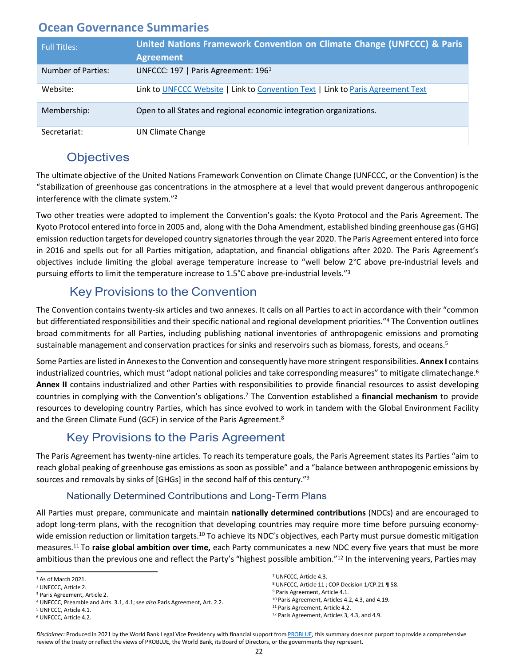<span id="page-23-0"></span>

| <b>Full Titles:</b> | United Nations Framework Convention on Climate Change (UNFCCC) & Paris<br><b>Agreement</b> |
|---------------------|--------------------------------------------------------------------------------------------|
| Number of Parties:  | UNFCCC: 197   Paris Agreement: 196 <sup>1</sup>                                            |
| Website:            | Link to UNFCCC Website   Link to Convention Text   Link to Paris Agreement Text            |
| Membership:         | Open to all States and regional economic integration organizations.                        |
| Secretariat:        | <b>UN Climate Change</b>                                                                   |

## **Objectives**

The ultimate objective of the United Nations Framework Convention on Climate Change (UNFCCC, or the Convention) isthe "stabilization of greenhouse gas concentrations in the atmosphere at a level that would prevent dangerous anthropogenic interference with the climate system."2

Two other treaties were adopted to implement the Convention's goals: the Kyoto Protocol and the Paris Agreement. The Kyoto Protocol entered into force in 2005 and, along with the Doha Amendment, established binding greenhouse gas (GHG) emission reduction targets for developed country signatories through the year 2020. The Paris Agreement entered into force in 2016 and spells out for all Parties mitigation, adaptation, and financial obligations after 2020. The Paris Agreement's objectives include limiting the global average temperature increase to "well below 2°C above pre-industrial levels and pursuing efforts to limit the temperature increase to 1.5°C above pre-industrial levels."3

## Key Provisions to the Convention

The Convention contains twenty-six articles and two annexes. It calls on all Parties to act in accordance with their "common but differentiated responsibilities and their specific national and regional development priorities."4 The Convention outlines broad commitments for all Parties, including publishing national inventories of anthropogenic emissions and promoting sustainable management and conservation practices for sinks and reservoirs such as biomass, forests, and oceans.<sup>5</sup>

Some Parties are listed in Annexes to the Convention and consequently have more stringent responsibilities. **Annex I** contains industrialized countries, which must "adopt national policies and take corresponding measures" to mitigate climatechange.<sup>6</sup> **Annex II** contains industrialized and other Parties with responsibilities to provide financial resources to assist developing countries in complying with the Convention's obligations.7 The Convention established a **financial mechanism** to provide resources to developing country Parties, which has since evolved to work in tandem with the Global Environment Facility and the Green Climate Fund (GCF) in service of the Paris Agreement.<sup>8</sup>

## Key Provisions to the Paris Agreement

The Paris Agreement has twenty-nine articles. To reach its temperature goals, the Paris Agreement states its Parties "aim to reach global peaking of greenhouse gas emissions as soon as possible" and a "balance between anthropogenic emissions by sources and removals by sinks of [GHGs] in the second half of this century."9

#### Nationally Determined Contributions and Long-Term Plans

All Parties must prepare, communicate and maintain **nationally determined contributions** (NDCs) and are encouraged to adopt long-term plans, with the recognition that developing countries may require more time before pursuing economywide emission reduction or limitation targets.<sup>10</sup> To achieve its NDC's objectives, each Party must pursue domestic mitigation measures.11 To **raise global ambition over time,** each Party communicates a new NDC every five years that must be more ambitious than the previous one and reflect the Party's "highest possible ambition."<sup>12</sup> In the intervening years, Parties may

<sup>7</sup> UNFCCC, Article 4.3.

<sup>8</sup> UNFCCC, Article 11 ; COP Decision 1/CP.21 ¶ 58.

<sup>9</sup> Paris Agreement, Article 4.1.

<sup>10</sup> Paris Agreement, Articles 4.2, 4.3, and 4.19.

<sup>11</sup> Paris Agreement, Article 4.2. <sup>12</sup> Paris Agreement, Articles 3, 4.3, and 4.9.

<sup>1</sup> As of March 2021.

<sup>2</sup> UNFCCC, Article 2.

<sup>3</sup> Paris Agreement, Article 2.

<sup>4</sup> UNFCCC, Preamble and Arts. 3.1, 4.1;*see also* Paris Agreement, Art. 2.2.

<sup>5</sup> UNFCCC, Article 4.1.

<sup>6</sup> UNFCCC, Article 4.2.

Disclaimer: Produced in 2021 by the World Bank Legal Vice Presidency with financial support from [PROBLUE, t](http://worldbank.org/problue)his summary does not purport to provide a comprehensive review of the treaty or reflect the views of PROBLUE, the World Bank, its Board of Directors, or the governments they represent.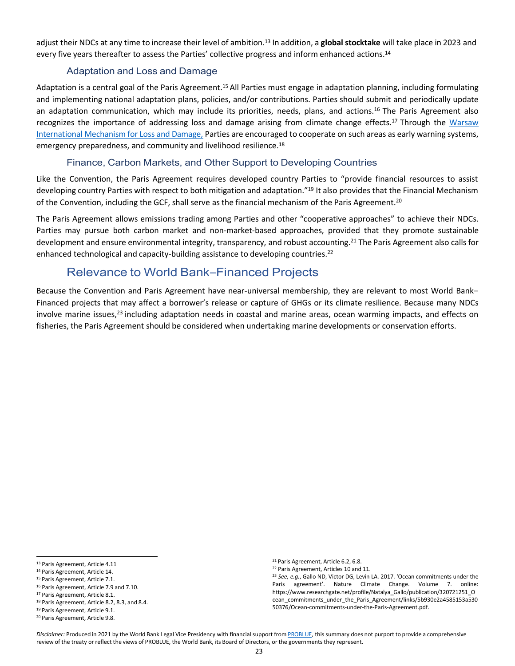adjust their NDCs at any time to increase their level of ambition.13 In addition, a **globalstocktake** will take place in 2023 and every five years thereafter to assess the Parties' collective progress and inform enhanced actions.<sup>14</sup>

#### Adaptation and Loss and Damage

Adaptation is a central goal of the Paris Agreement.<sup>15</sup> All Parties must engage in adaptation planning, including formulating and implementing national adaptation plans, policies, and/or contributions. Parties should submit and periodically update an adaptation communication, which may include its priorities, needs, plans, and actions.<sup>16</sup> The Paris Agreement also recognizes the importance of addressing loss and damage arising from climate change effects.<sup>17</sup> Through the [Warsaw](https://unfccc.int/topics/adaptation-and-resilience/workstreams/loss-and-damage-ld/warsaw-international-mechanism-for-loss-and-damage-associated-with-climate-change-impacts-wim) [International](https://unfccc.int/topics/adaptation-and-resilience/workstreams/loss-and-damage-ld/warsaw-international-mechanism-for-loss-and-damage-associated-with-climate-change-impacts-wim) Mechanism for Loss and Damage, Parties are encouraged to cooperate on such areas as early warning systems, emergency preparedness, and community and livelihood resilience.<sup>18</sup>

#### Finance, Carbon Markets, and Other Support to Developing Countries

Like the Convention, the Paris Agreement requires developed country Parties to "provide financial resources to assist developing country Parties with respect to both mitigation and adaptation."<sup>19</sup> It also provides that the Financial Mechanism of the Convention, including the GCF, shall serve as the financial mechanism of the Paris Agreement.<sup>20</sup>

The Paris Agreement allows emissions trading among Parties and other "cooperative approaches" to achieve their NDCs. Parties may pursue both carbon market and non-market-based approaches, provided that they promote sustainable development and ensure environmental integrity, transparency, and robust accounting.<sup>21</sup> The Paris Agreement also calls for enhanced technological and capacity-building assistance to developing countries.<sup>22</sup>

#### Relevance to World Bank‒Financed Projects

Because the Convention and Paris Agreement have near-universal membership, they are relevant to most World Bank-Financed projects that may affect a borrower's release or capture of GHGs or its climate resilience. Because many NDCs involve marine issues,<sup>23</sup> including adaptation needs in coastal and marine areas, ocean warming impacts, and effects on fisheries, the Paris Agreement should be considered when undertaking marine developments or conservation efforts.

<sup>18</sup> Paris Agreement, Article 8.2, 8.3, and 8.4.

<sup>21</sup> Paris Agreement, Article 6.2, 6.8.

<sup>13</sup> Paris Agreement, Article 4.11

<sup>14</sup> Paris Agreement, Article 14.

<sup>15</sup> Paris Agreement, Article 7.1.

<sup>16</sup> Paris Agreement, Article 7.9 and 7.10.

<sup>17</sup> Paris Agreement, Article 8.1.

<sup>19</sup> Paris Agreement, Article 9.1.

<sup>20</sup> Paris Agreement, Article 9.8.

<sup>22</sup> Paris Agreement, Articles 10 and 11.

<sup>23</sup> *See, e.g.*, Gallo ND, Victor DG, Levin LA. 2017. 'Ocean commitments under the Paris agreement'. Nature Climate Change. Volume 7. online: https:/[/www.researchgate.net/profile/Natalya\\_Gallo/publication/320721251\\_O](http://www.researchgate.net/profile/Natalya_Gallo/publication/320721251_O) cean\_commitments\_under\_the\_Paris\_Agreement/links/5b930e2a4585153a530 50376/Ocean-commitments-under-the-Paris-Agreement.pdf.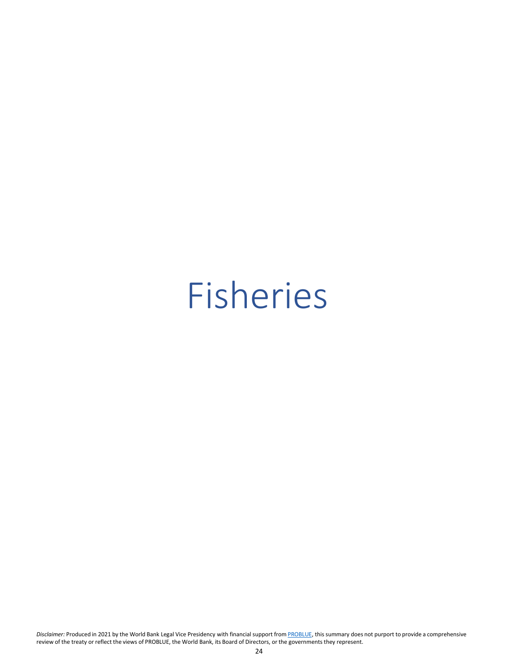## <span id="page-25-0"></span>Fisheries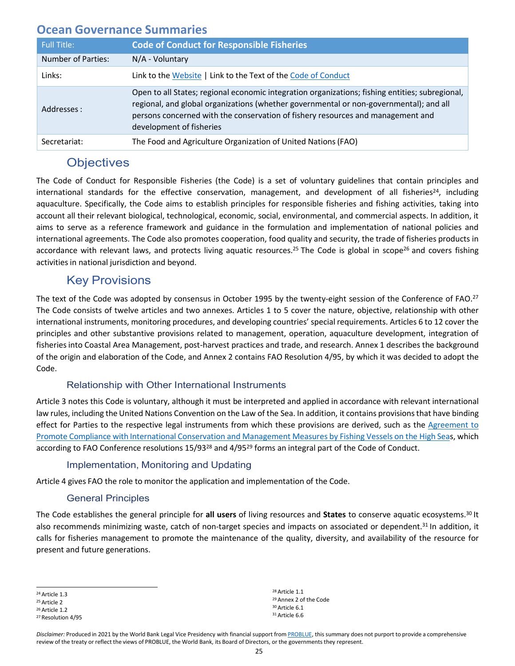<span id="page-26-0"></span>

| <b>Full Title:</b> | <b>Code of Conduct for Responsible Fisheries</b>                                                                                                                                                                                                                                                         |
|--------------------|----------------------------------------------------------------------------------------------------------------------------------------------------------------------------------------------------------------------------------------------------------------------------------------------------------|
| Number of Parties: | $N/A$ - Voluntary                                                                                                                                                                                                                                                                                        |
| Links:             | Link to the Website   Link to the Text of the Code of Conduct                                                                                                                                                                                                                                            |
| Addresses :        | Open to all States; regional economic integration organizations; fishing entities; subregional,<br>regional, and global organizations (whether governmental or non-governmental); and all<br>persons concerned with the conservation of fishery resources and management and<br>development of fisheries |
| Secretariat:       | The Food and Agriculture Organization of United Nations (FAO)                                                                                                                                                                                                                                            |

## **Objectives**

The Code of Conduct for Responsible Fisheries (the Code) is a set of voluntary guidelines that contain principles and international standards for the effective conservation, management, and development of all fisheries<sup>24</sup>, including aquaculture. Specifically, the Code aims to establish principles for responsible fisheries and fishing activities, taking into account all their relevant biological, technological, economic, social, environmental, and commercial aspects. In addition, it aims to serve as a reference framework and guidance in the formulation and implementation of national policies and international agreements. The Code also promotes cooperation, food quality and security, the trade of fisheries products in accordance with relevant laws, and protects living aquatic resources.<sup>25</sup> The Code is global in scope<sup>26</sup> and covers fishing activities in national jurisdiction and beyond.

## Key Provisions

The text of the Code was adopted by consensus in October 1995 by the twenty-eight session of the Conference of FAO.<sup>27</sup> The Code consists of twelve articles and two annexes. Articles 1 to 5 cover the nature, objective, relationship with other international instruments, monitoring procedures, and developing countries' special requirements. Articles 6 to 12 cover the principles and other substantive provisions related to management, operation, aquaculture development, integration of fisheriesinto Coastal Area Management, post-harvest practices and trade, and research. Annex 1 describes the background of the origin and elaboration of the Code, and Annex 2 contains FAO Resolution 4/95, by which it was decided to adopt the Code.

#### Relationship with Other International Instruments

Article 3 notes this Code is voluntary, although it must be interpreted and applied in accordance with relevant international law rules, including the United Nations Convention on the Law of the Sea. In addition, it contains provisionsthat have binding effect for Parties to the respective legal instruments from which these provisions are derived, such as the [Agreement to](http://www.fao.org/3/X3130m/X3130E00.HTM) Promote Compliance with International Conservation and [Management](http://www.fao.org/3/X3130m/X3130E00.HTM) Measures by Fishing Vessels on the High Seas, which according to FAO Conference resolutions 15/93<sup>28</sup> and 4/95<sup>29</sup> forms an integral part of the Code of Conduct.

#### Implementation, Monitoring and Updating

Article 4 gives FAO the role to monitor the application and implementation of the Code.

#### General Principles

The Code establishes the general principle for **all users** of living resources and **States** to conserve aquatic ecosystems.30 It also recommends minimizing waste, catch of non-target species and impacts on associated or dependent.<sup>31</sup> In addition, it calls for fisheries management to promote the maintenance of the quality, diversity, and availability of the resource for present and future generations.

 Article 1.1 Annex 2 of the Code Article 6.1 Article 6.6

<sup>24</sup> Article 1.3

<sup>25</sup> Article 2

<sup>26</sup> Article 1.2

<sup>27</sup> Resolution 4/95

Disclaimer: Produced in 2021 by the World Bank Legal Vice Presidency with financial support from [PROBLUE, t](http://worldbank.org/problue)his summary does not purport to provide a comprehensive review of the treaty or reflect the views of PROBLUE, the World Bank, its Board of Directors, or the governments they represent.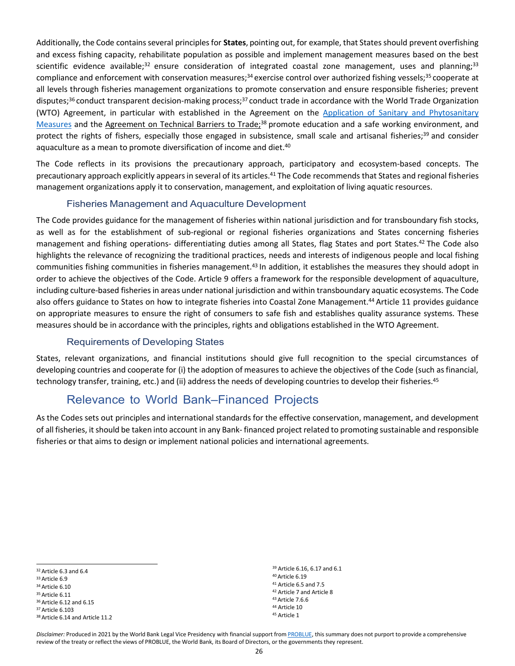Additionally, the Code containsseveral principlesfor **States**, pointing out, for example, that States should prevent overfishing and excess fishing capacity, rehabilitate population as possible and implement management measures based on the best scientific evidence available;<sup>32</sup> ensure consideration of integrated coastal zone management, uses and planning;<sup>33</sup> compliance and enforcement with conservation measures;<sup>34</sup> exercise control over authorized fishing vessels;<sup>35</sup> cooperate at all levels through fisheries management organizations to promote conservation and ensure responsible fisheries; prevent disputes;<sup>36</sup> conduct transparent decision-making process;<sup>37</sup> conduct trade in accordance with the World Trade Organization (WTO) Agreement, in particular with established in the Agreement on the Application of [Sanitary and Phytosanitary](https://www.wto.org/english/tratop_e/sps_e/spsagr_e.htm) [Measures](https://www.wto.org/english/tratop_e/sps_e/spsagr_e.htm) and the [Agreement on Technical Barriers to Trade;](https://www.wto.org/english/docs_e/legal_e/17-tbt_e.htm)<sup>38</sup> promote education and a safe working environment, and protect the rights of fishers, especially those engaged in subsistence, small scale and artisanal fisheries;<sup>39</sup> and consider aquaculture as a mean to promote diversification of income and diet.<sup>40</sup>

The Code reflects in its provisions the precautionary approach, participatory and ecosystem-based concepts. The precautionary approach explicitly appears in several of its articles.<sup>41</sup> The Code recommends that States and regional fisheries management organizations apply it to conservation, management, and exploitation of living aquatic resources.

#### Fisheries Management and Aquaculture Development

The Code provides guidance for the management of fisheries within national jurisdiction and for transboundary fish stocks, as well as for the establishment of sub-regional or regional fisheries organizations and States concerning fisheries management and fishing operations- differentiating duties among all States, flag States and port States.42 The Code also highlights the relevance of recognizing the traditional practices, needs and interests of indigenous people and local fishing communities fishing communities in fisheries management.<sup>43</sup> In addition, it establishes the measures they should adopt in order to achieve the objectives of the Code. Article 9 offers a framework for the responsible development of aquaculture, including culture-based fisheries in areas under national jurisdiction and within transboundary aquatic ecosystems. The Code also offers guidance to States on how to integrate fisheries into Coastal Zone Management.44 Article 11 provides guidance on appropriate measures to ensure the right of consumers to safe fish and establishes quality assurance systems. These measures should be in accordance with the principles, rights and obligations established in the WTO Agreement.

#### Requirements of Developing States

States, relevant organizations, and financial institutions should give full recognition to the special circumstances of developing countries and cooperate for (i) the adoption of measures to achieve the objectives of the Code (such asfinancial, technology transfer, training, etc.) and (ii) address the needs of developing countries to develop their fisheries.<sup>45</sup>

## Relevance to World Bank–Financed Projects

As the Codes sets out principles and international standards for the effective conservation, management, and development of all fisheries, it should be taken into account in any Bank- financed project related to promoting sustainable and responsible fisheries or that aims to design or implement national policies and international agreements.

 Article 6.16, 6.17 and 6.1 Article 6.19 Article 6.5 and 7.5 Article 7 and Article 8 Article 7.6.6 Article 10 <sup>45</sup> Article 1

<sup>32</sup> Article 6.3 and 6.4

<sup>33</sup> Article 6.9

<sup>34</sup> Article 6.10

<sup>35</sup> Article 6.11 <sup>36</sup> Article 6.12 and 6.15

<sup>37</sup> Article 6.103

<sup>38</sup> Article 6.14 and Article 11.2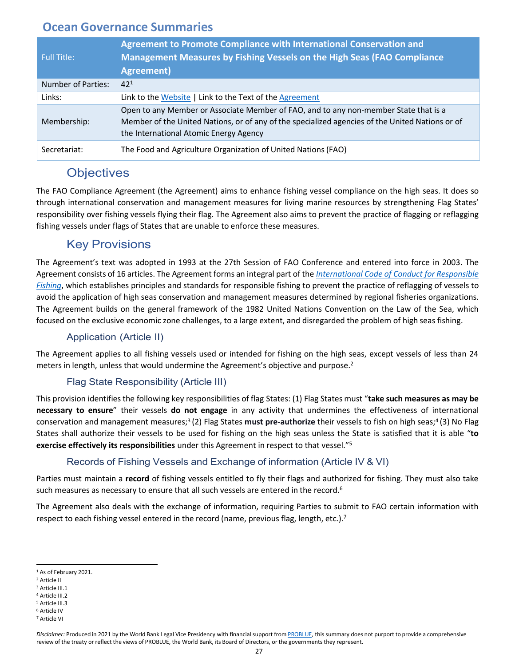<span id="page-28-0"></span>

| <b>Full Title:</b> | Agreement to Promote Compliance with International Conservation and<br>Management Measures by Fishing Vessels on the High Seas (FAO Compliance<br><b>Agreement</b> )                                                              |
|--------------------|-----------------------------------------------------------------------------------------------------------------------------------------------------------------------------------------------------------------------------------|
| Number of Parties: | $42^{1}$                                                                                                                                                                                                                          |
| Links:             | Link to the Website   Link to the Text of the Agreement                                                                                                                                                                           |
| Membership:        | Open to any Member or Associate Member of FAO, and to any non-member State that is a<br>Member of the United Nations, or of any of the specialized agencies of the United Nations or of<br>the International Atomic Energy Agency |
| Secretariat:       | The Food and Agriculture Organization of United Nations (FAO)                                                                                                                                                                     |

## **Objectives**

The FAO Compliance Agreement (the Agreement) aims to enhance fishing vessel compliance on the high seas. It does so through international conservation and management measures for living marine resources by strengthening Flag States' responsibility over fishing vessels flying their flag. The Agreement also aims to prevent the practice of flagging or reflagging fishing vessels under flags of States that are unable to enforce these measures.

## Key Provisions

The Agreement's text was adopted in 1993 at the 27th Session of FAO Conference and entered into force in 2003. The Agreement consists of 16 articles. The Agreement forms an integral part of the *[International](http://www.fao.org/fishery/code/en) Code of Conduct for Responsible [Fishing](http://www.fao.org/fishery/code/en)*, which establishes principles and standards for responsible fishing to prevent the practice of reflagging of vessels to avoid the application of high seas conservation and management measures determined by regional fisheries organizations. The Agreement builds on the general framework of the 1982 United Nations Convention on the Law of the Sea, which focused on the exclusive economic zone challenges, to a large extent, and disregarded the problem of high seas fishing.

#### Application (Article II)

The Agreement applies to all fishing vessels used or intended for fishing on the high seas, except vessels of less than 24 meters in length, unless that would undermine the Agreement's objective and purpose.<sup>2</sup>

#### Flag State Responsibility (Article III)

This provision identifies the following key responsibilities of flag States: (1) Flag States must "**take such measures as may be necessary to ensure**" their vessels **do not engage** in any activity that undermines the effectiveness of international conservation and management measures;3 (2) Flag States **must pre-authorize** their vessels to fish on high seas;4 (3) No Flag States shall authorize their vessels to be used for fishing on the high seas unless the State is satisfied that it is able "**to exercise effectively its responsibilities** under this Agreement in respect to that vessel."5

#### Records of Fishing Vessels and Exchange of information (Article IV & VI)

Parties must maintain a **record** of fishing vessels entitled to fly their flags and authorized for fishing. They must also take such measures as necessary to ensure that all such vessels are entered in the record.<sup>6</sup>

The Agreement also deals with the exchange of information, requiring Parties to submit to FAO certain information with respect to each fishing vessel entered in the record (name, previous flag, length, etc.).<sup>7</sup>

<sup>1</sup> As of February 2021.

<sup>2</sup> Article II

<sup>3</sup> Article III.1 <sup>4</sup> Article III.2

<sup>5</sup> Article III.3

<sup>6</sup> Article IV

<sup>7</sup> Article VI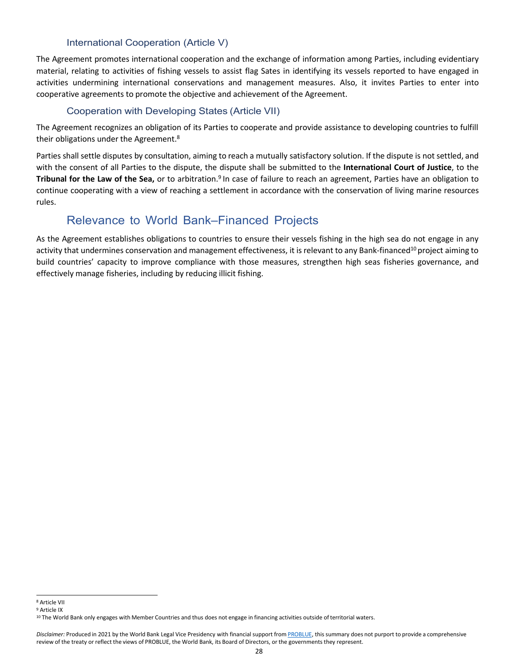#### International Cooperation (Article V)

The Agreement promotes international cooperation and the exchange of information among Parties, including evidentiary material, relating to activities of fishing vessels to assist flag Sates in identifying its vessels reported to have engaged in activities undermining international conservations and management measures. Also, it invites Parties to enter into cooperative agreements to promote the objective and achievement of the Agreement.

#### Cooperation with Developing States (Article VII)

The Agreement recognizes an obligation of its Parties to cooperate and provide assistance to developing countries to fulfill their obligations under the Agreement.<sup>8</sup>

Parties shall settle disputes by consultation, aiming to reach a mutually satisfactory solution. If the dispute is not settled, and with the consent of all Parties to the dispute, the dispute shall be submitted to the **International Court of Justice**, to the **Tribunal for the Law of the Sea,** or to arbitration.9 In case of failure to reach an agreement, Parties have an obligation to continue cooperating with a view of reaching a settlement in accordance with the conservation of living marine resources rules.

## Relevance to World Bank–Financed Projects

As the Agreement establishes obligations to countries to ensure their vessels fishing in the high sea do not engage in any activity that undermines conservation and management effectiveness, it is relevant to any Bank-financed<sup>10</sup> project aiming to build countries' capacity to improve compliance with those measures, strengthen high seas fisheries governance, and effectively manage fisheries, including by reducing illicit fishing.

<sup>8</sup> Article VII

<sup>9</sup> Article IX

<sup>10</sup> The World Bank only engages with Member Countries and thus does not engage in financing activities outside of territorial waters.

Disclaimer: Produced in 2021 by the World Bank Legal Vice Presidency with financial support from [PROBLUE, t](http://worldbank.org/problue)his summary does not purport to provide a comprehensive review of the treaty or reflect the views of PROBLUE, the World Bank, its Board of Directors, or the governments they represent.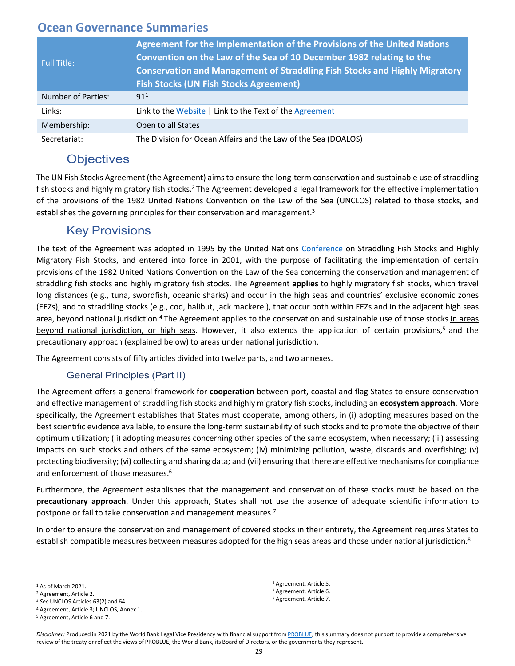<span id="page-30-0"></span>

| <b>Full Title:</b>        | Agreement for the Implementation of the Provisions of the United Nations<br>Convention on the Law of the Sea of 10 December 1982 relating to the<br><b>Conservation and Management of Straddling Fish Stocks and Highly Migratory</b><br><b>Fish Stocks (UN Fish Stocks Agreement)</b> |
|---------------------------|----------------------------------------------------------------------------------------------------------------------------------------------------------------------------------------------------------------------------------------------------------------------------------------|
| <b>Number of Parties:</b> | 91 <sup>1</sup>                                                                                                                                                                                                                                                                        |
| Links:                    | Link to the Website   Link to the Text of the Agreement                                                                                                                                                                                                                                |
| Membership:               | Open to all States                                                                                                                                                                                                                                                                     |
| Secretariat:              | The Division for Ocean Affairs and the Law of the Sea (DOALOS)                                                                                                                                                                                                                         |

## **Objectives**

The UN Fish Stocks Agreement (the Agreement) aimsto ensure the long-term conservation and sustainable use of straddling fish stocks and highly migratory fish stocks.<sup>2</sup> The Agreement developed a legal framework for the effective implementation of the provisions of the 1982 United Nations Convention on the Law of the Sea (UNCLOS) related to those stocks, and establishes the governing principles for their conservation and management.<sup>3</sup>

## Key Provisions

The text of the Agreement was adopted in 1995 by the United Nations [Conference](https://www.un.org/Depts/los/fish_stocks_conference/fish_stocks_conference.htm) on Straddling Fish Stocks and Highly Migratory Fish Stocks, and entered into force in 2001, with the purpose of facilitating the implementation of certain provisions of the 1982 United Nations Convention on the Law of the Sea concerning the conservation and management of straddling fish stocks and highly migratory fish stocks. The Agreement **applies** to highly migratory fish stocks, which travel long distances (e.g., tuna, swordfish, oceanic sharks) and occur in the high seas and countries' exclusive economic zones (EEZs); and to straddling stocks (e.g., cod, halibut, jack mackerel), that occur both within EEZs and in the adjacent high seas area, beyond national jurisdiction.<sup>4</sup> The Agreement applies to the conservation and sustainable use of those stocks in areas beyond national jurisdiction, or high seas. However, it also extends the application of certain provisions,5 and the precautionary approach (explained below) to areas under national jurisdiction.

The Agreement consists of fifty articles divided into twelve parts, and two annexes.

#### General Principles (Part II)

The Agreement offers a general framework for **cooperation** between port, coastal and flag States to ensure conservation and effective management of straddling fish stocks and highly migratory fish stocks, including an **ecosystem approach**. More specifically, the Agreement establishes that States must cooperate, among others, in (i) adopting measures based on the best scientific evidence available, to ensure the long-term sustainability of such stocks and to promote the objective of their optimum utilization; (ii) adopting measures concerning other species of the same ecosystem, when necessary; (iii) assessing impacts on such stocks and others of the same ecosystem; (iv) minimizing pollution, waste, discards and overfishing; (v) protecting biodiversity; (vi) collecting and sharing data; and (vii) ensuring that there are effective mechanisms for compliance and enforcement of those measures.<sup>6</sup>

Furthermore, the Agreement establishes that the management and conservation of these stocks must be based on the **precautionary approach**. Under this approach, States shall not use the absence of adequate scientific information to postpone or fail to take conservation and management measures.<sup>7</sup>

In order to ensure the conservation and management of covered stocks in their entirety, the Agreement requires States to establish compatible measures between measures adopted for the high seas areas and those under national jurisdiction.<sup>8</sup>

<sup>6</sup> Agreement, Article 5. <sup>7</sup> Agreement, Article 6. <sup>8</sup> Agreement, Article 7.

<sup>&</sup>lt;sup>1</sup> As of March 2021.

<sup>2</sup> Agreement, Article 2.

<sup>3</sup> *See* UNCLOS Articles 63(2) and 64.

<sup>4</sup> Agreement, Article 3; UNCLOS, Annex 1.

<sup>5</sup> Agreement, Article 6 and 7.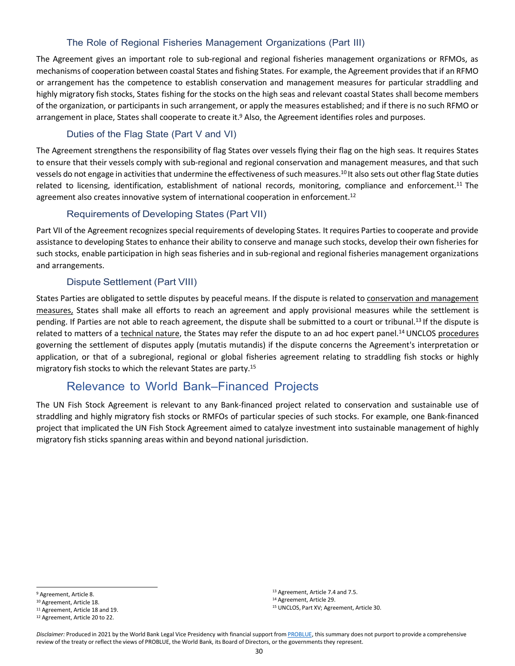#### The Role of Regional Fisheries Management Organizations (Part III)

The Agreement gives an important role to sub-regional and regional fisheries management organizations or RFMOs, as mechanisms of cooperation between coastal States and fishing States. For example, the Agreement provides that if an RFMO or arrangement has the competence to establish conservation and management measures for particular straddling and highly migratory fish stocks, States fishing for the stocks on the high seas and relevant coastal States shall become members of the organization, or participants in such arrangement, or apply the measures established; and if there is no such RFMO or arrangement in place, States shall cooperate to create it.<sup>9</sup> Also, the Agreement identifies roles and purposes.

#### Duties of the Flag State (Part V and VI)

The Agreement strengthens the responsibility of flag States over vessels flying their flag on the high seas. It requires States to ensure that their vessels comply with sub-regional and regional conservation and management measures, and that such vessels do not engage in activities that undermine the effectiveness of such measures.10 It also sets out other flag State duties related to licensing, identification, establishment of national records, monitoring, compliance and enforcement.<sup>11</sup> The agreement also creates innovative system of international cooperation in enforcement.<sup>12</sup>

#### Requirements of Developing States (Part VII)

Part VII of the Agreement recognizes special requirements of developing States. It requires Parties to cooperate and provide assistance to developing States to enhance their ability to conserve and manage such stocks, develop their own fisheries for such stocks, enable participation in high seas fisheries and in sub-regional and regional fisheries management organizations and arrangements.

#### Dispute Settlement (Part VIII)

States Parties are obligated to settle disputes by peaceful means. If the dispute is related to conservation and management measures, States shall make all efforts to reach an agreement and apply provisional measures while the settlement is pending. If Parties are not able to reach agreement, the dispute shall be submitted to a court or tribunal.13 If the dispute is related to matters of a technical nature, the States may refer the dispute to an ad hoc expert panel.<sup>14</sup> UNCLOS procedures governing the settlement of disputes apply (mutatis mutandis) if the dispute concerns the Agreement's interpretation or application, or that of a subregional, regional or global fisheries agreement relating to straddling fish stocks or highly migratory fish stocks to which the relevant States are party.15

## Relevance to World Bank–Financed Projects

The UN Fish Stock Agreement is relevant to any Bank-financed project related to conservation and sustainable use of straddling and highly migratory fish stocks or RMFOs of particular species of such stocks. For example, one Bank-financed project that implicated the UN Fish Stock Agreement aimed to catalyze investment into sustainable management of highly migratory fish sticks spanning areas within and beyond national jurisdiction.

<sup>13</sup> Agreement, Article 7.4 and 7.5.

<sup>14</sup> Agreement, Article 29.

<sup>9</sup> Agreement, Article 8.

<sup>10</sup> Agreement, Article 18.

<sup>11</sup> Agreement, Article 18 and 19.

<sup>12</sup> Agreement, Article 20 to 22.

<sup>15</sup> UNCLOS, Part XV; Agreement, Article 30.

Disclaimer: Produced in 2021 by the World Bank Legal Vice Presidency with financial support from [PROBLUE, t](http://worldbank.org/problue)his summary does not purport to provide a comprehensive review of the treaty or reflect the views of PROBLUE, the World Bank, its Board of Directors, or the governments they represent.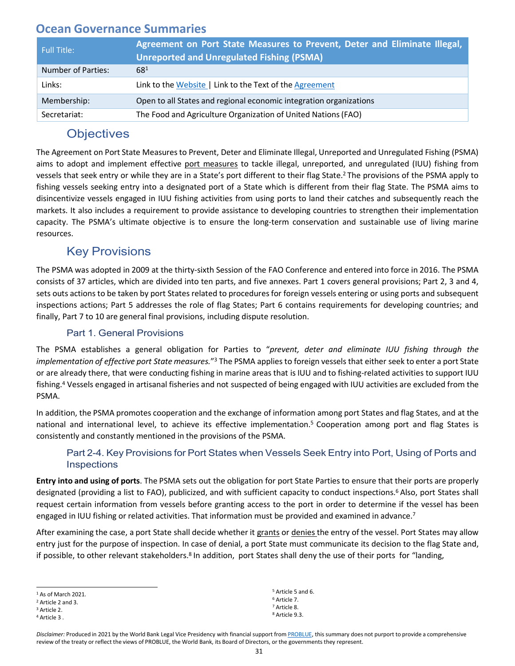<span id="page-32-0"></span>

| <b>Full Title:</b> | Agreement on Port State Measures to Prevent, Deter and Eliminate Illegal,<br><b>Unreported and Unregulated Fishing (PSMA)</b> |
|--------------------|-------------------------------------------------------------------------------------------------------------------------------|
| Number of Parties: | $68^{1}$                                                                                                                      |
| Links:             | Link to the Website   Link to the Text of the Agreement                                                                       |
| Membership:        | Open to all States and regional economic integration organizations                                                            |
| Secretariat:       | The Food and Agriculture Organization of United Nations (FAO)                                                                 |

## **Objectives**

The Agreement on Port State Measuresto Prevent, Deter and Eliminate Illegal, Unreported and Unregulated Fishing (PSMA) aims to adopt and implement effective port measures to tackle illegal, unreported, and unregulated (IUU) fishing from vessels that seek entry or while they are in a State's port different to their flag State.2 The provisions of the PSMA apply to fishing vessels seeking entry into a designated port of a State which is different from their flag State. The PSMA aims to disincentivize vessels engaged in IUU fishing activities from using ports to land their catches and subsequently reach the markets. It also includes a requirement to provide assistance to developing countries to strengthen their implementation capacity. The PSMA's ultimate objective is to ensure the long-term conservation and sustainable use of living marine resources.

## Key Provisions

The PSMA was adopted in 2009 at the thirty-sixth Session of the FAO Conference and entered into force in 2016. The PSMA consists of 37 articles, which are divided into ten parts, and five annexes. Part 1 covers general provisions; Part 2, 3 and 4, sets outs actions to be taken by port States related to procedures for foreign vessels entering or using ports and subsequent inspections actions; Part 5 addresses the role of flag States; Part 6 contains requirements for developing countries; and finally, Part 7 to 10 are general final provisions, including dispute resolution.

#### Part 1. General Provisions

The PSMA establishes a general obligation for Parties to "*prevent, deter and eliminate IUU fishing through the implementation of effective port State measures.*"3 The PSMA applies to foreign vessels that either seek to enter a port State or are already there, that were conducting fishing in marine areas that is IUU and to fishing-related activities to support IUU fishing.4 Vessels engaged in artisanal fisheries and not suspected of being engaged with IUU activities are excluded from the PSMA.

In addition, the PSMA promotes cooperation and the exchange of information among port States and flag States, and at the national and international level, to achieve its effective implementation.<sup>5</sup> Cooperation among port and flag States is consistently and constantly mentioned in the provisions of the PSMA.

#### Part 2-4. Key Provisions for Port States when Vessels Seek Entry into Port, Using of Ports and **Inspections**

**Entry into and using of ports**. The PSMA sets out the obligation for port State Parties to ensure that their ports are properly designated (providing a list to FAO), publicized, and with sufficient capacity to conduct inspections.6 Also, port States shall request certain information from vessels before granting access to the port in order to determine if the vessel has been engaged in IUU fishing or related activities. That information must be provided and examined in advance.<sup>7</sup>

After examining the case, a port State shall decide whether it grants or denies the entry of the vessel. Port States may allow entry just for the purpose of inspection. In case of denial, a port State must communicate its decision to the flag State and, if possible, to other relevant stakeholders.<sup>8</sup> In addition, port States shall deny the use of their ports for "landing,

 Article 5 and 6. Article 7. Article 8. Article 9.3.

<sup>&</sup>lt;sup>1</sup> As of March 2021.

<sup>2</sup> Article 2 and 3.

<sup>3</sup> Article 2.

<sup>4</sup> Article 3 .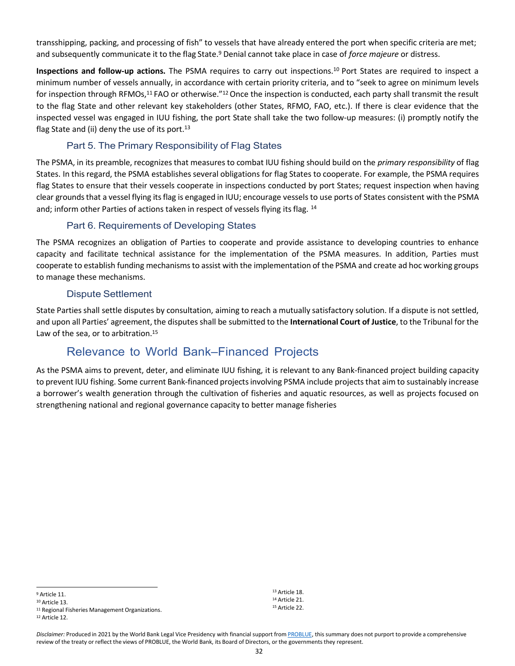transshipping, packing, and processing of fish" to vessels that have already entered the port when specific criteria are met; and subsequently communicate it to the flag State.9 Denial cannot take place in case of *force majeure* or distress.

**Inspections and follow-up actions.** The PSMA requires to carry out inspections.10 Port States are required to inspect a minimum number of vessels annually, in accordance with certain priority criteria, and to "seek to agree on minimum levels for inspection through RFMOs,11 FAO or otherwise."12 Once the inspection is conducted, each party shall transmit the result to the flag State and other relevant key stakeholders (other States, RFMO, FAO, etc.). If there is clear evidence that the inspected vessel was engaged in IUU fishing, the port State shall take the two follow-up measures: (i) promptly notify the flag State and (ii) deny the use of its port. $13$ 

#### Part 5. The Primary Responsibility of Flag States

The PSMA, in its preamble, recognizes that measures to combat IUU fishing should build on the *primary responsibility* of flag States. In this regard, the PSMA establishes several obligations for flag States to cooperate. For example, the PSMA requires flag States to ensure that their vessels cooperate in inspections conducted by port States; request inspection when having clear groundsthat a vessel flying itsflag is engaged in IUU; encourage vessels to use ports of States consistent with the PSMA and; inform other Parties of actions taken in respect of vessels flying its flag. 14

#### Part 6. Requirements of Developing States

The PSMA recognizes an obligation of Parties to cooperate and provide assistance to developing countries to enhance capacity and facilitate technical assistance for the implementation of the PSMA measures. In addition, Parties must cooperate to establish funding mechanismsto assist with the implementation of the PSMA and create ad hoc working groups to manage these mechanisms.

#### Dispute Settlement

State Parties shall settle disputes by consultation, aiming to reach a mutually satisfactory solution. If a dispute is not settled, and upon all Parties' agreement, the disputes shall be submitted to the **International Court of Justice**, to the Tribunal for the Law of the sea, or to arbitration.<sup>15</sup>

## Relevance to World Bank–Financed Projects

As the PSMA aims to prevent, deter, and eliminate IUU fishing, it is relevant to any Bank-financed project building capacity to prevent IUU fishing. Some current Bank-financed projectsinvolving PSMA include projectsthat aim to sustainably increase a borrower's wealth generation through the cultivation of fisheries and aquatic resources, as well as projects focused on strengthening national and regional governance capacity to better manage fisheries

<sup>11</sup> Regional Fisheries Management Organizations.

<sup>12</sup> Article 12.

Disclaimer: Produced in 2021 by the World Bank Legal Vice Presidency with financial support from [PROBLUE, t](http://worldbank.org/problue)his summary does not purport to provide a comprehensive review of the treaty or reflect the views of PROBLUE, the World Bank, its Board of Directors, or the governments they represent.

<sup>13</sup> Article 18. <sup>14</sup> Article 21. <sup>15</sup> Article 22.

<sup>9</sup> Article 11.

<sup>10</sup> Article 13.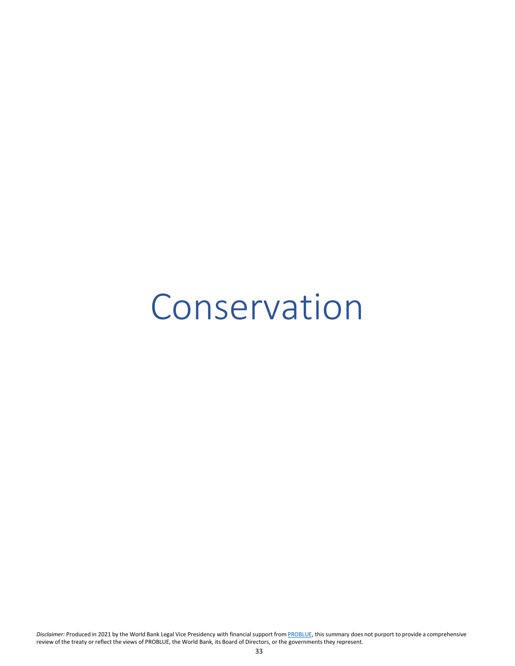## <span id="page-34-0"></span>Conservation

*Disclaimer:* Produced in 2021 by the World Bank Legal Vice Presidency with financial support from [PROBLUE, t](http://worldbank.org/problue)his summary does not purport to provide a comprehensive review of the treaty or reflect the views of PROBLUE, the World Bank, its Board of Directors, or the governments they represent.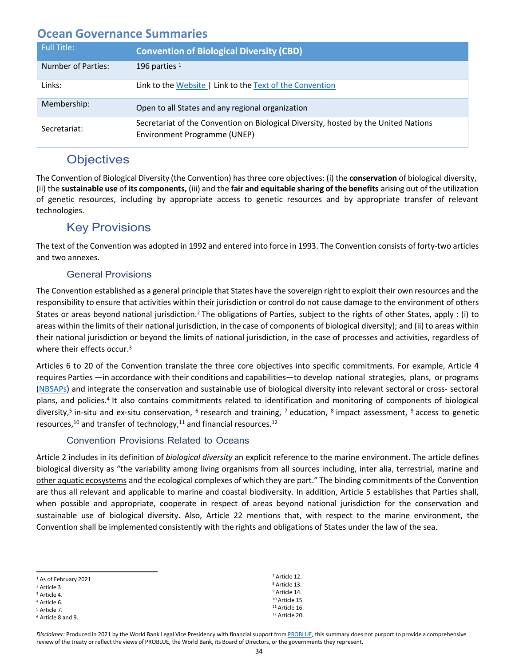<span id="page-35-0"></span>

| <b>Full Title:</b> | <b>Convention of Biological Diversity (CBD)</b>                                                                     |
|--------------------|---------------------------------------------------------------------------------------------------------------------|
| Number of Parties: | 196 parties $1$                                                                                                     |
| Links:             | Link to the Website   Link to the Text of the Convention                                                            |
| Membership:        | Open to all States and any regional organization                                                                    |
| Secretariat:       | Secretariat of the Convention on Biological Diversity, hosted by the United Nations<br>Environment Programme (UNEP) |

## **Objectives**

The Convention of Biological Diversity (the Convention) hasthree core objectives: (i) the **conservation** of biological diversity, (ii) the **sustainable use** of **its components,** (iii) and the **fair and equitable sharing of the benefits** arising out of the utilization of genetic resources, including by appropriate access to genetic resources and by appropriate transfer of relevant technologies.

## Key Provisions

The text of the Convention was adopted in 1992 and entered into force in 1993. The Convention consists of forty-two articles and two annexes.

#### General Provisions

The Convention established as a general principle that States have the sovereign right to exploit their own resources and the responsibility to ensure that activities within their jurisdiction or control do not cause damage to the environment of others States or areas beyond national jurisdiction.<sup>2</sup> The obligations of Parties, subject to the rights of other States, apply : (i) to areas within the limits of their national jurisdiction, in the case of components of biological diversity); and (ii) to areas within their national jurisdiction or beyond the limits of national jurisdiction, in the case of processes and activities, regardless of where their effects occur.<sup>3</sup>

Articles 6 to 20 of the Convention translate the three core objectives into specific commitments. For example, Article 4 requires Parties —in accordance with their conditions and capabilities—to develop national strategies, plans, or programs (NBSAPs) and integrate the conservation and sustainable use of biological diversity into relevant sectoral or cross- sectoral plans, and policies.4 It also contains commitments related to identification and monitoring of components of biological diversity,<sup>5</sup> in-situ and ex-situ conservation,  $6$  research and training,  $7$  education,  $8$  impact assessment,  $9$  access to genetic resources, $10$  and transfer of technology, $11$  and financial resources. $12$ 

#### Convention Provisions Related to Oceans

Article 2 includes in its definition of *biological diversity* an explicit reference to the marine environment. The article defines biological diversity as "the variability among living organisms from all sources including, inter alia, terrestrial, marine and other aquatic ecosystems and the ecological complexes of which they are part." The binding commitments of the Convention are thus all relevant and applicable to marine and coastal biodiversity. In addition, Article 5 establishes that Parties shall, when possible and appropriate, cooperate in respect of areas beyond national jurisdiction for the conservation and sustainable use of biological diversity. Also, Article 22 mentions that, with respect to the marine environment, the Convention shall be implemented consistently with the rights and obligations of States under the law of the sea.

| <sup>1</sup> As of February 2021 | <sup>7</sup> Article 12.  |
|----------------------------------|---------------------------|
| <sup>2</sup> Article 3           | <sup>8</sup> Article 13.  |
| <sup>3</sup> Article 4.          | <sup>9</sup> Article 14.  |
| <sup>4</sup> Article 6.          | <sup>10</sup> Article 15. |
| <sup>5</sup> Article 7.          | $11$ Article 16.          |
| <sup>6</sup> Article 8 and 9.    | <sup>12</sup> Article 20. |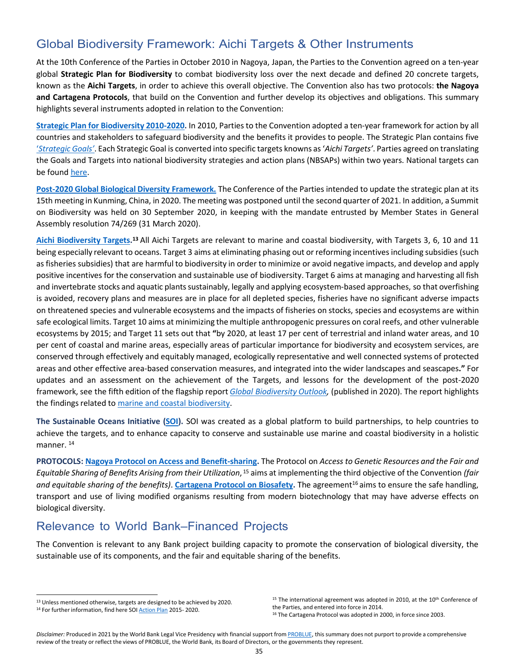## Global Biodiversity Framework: Aichi Targets & Other Instruments

At the 10th Conference of the Parties in October 2010 in Nagoya, Japan, the Parties to the Convention agreed on a ten-year global **[Strategic Plan f](https://www.cbd.int/sp/default.shtml)or Biodiversity** to combat biodiversity loss over the next decade and defined 20 concrete targets, known as the **[Aichi Targets](https://www.cbd.int/sp/targets/)**, in order to achieve this overall objective. The Convention also has two protocols: **the Nagoya and Cartagena Protocols**, that build on the Convention and further develop its objectives and obligations. This summary highlights several instruments adopted in relation to the Convention:

**[Strategic Plan for Biodiversity 2010-2020.](https://www.cbd.int/sp/)** In 2010, Parties to the Convention adopted a ten-year framework for action by all countries and stakeholders to safeguard biodiversity and the benefits it provides to people. The Strategic Plan contains five '*[Strategic Goals'](https://www.cbd.int/sp/targets/)*. Each Strategic Goal is converted into specific targets knowns as '*Aichi Targets'*. Parties agreed on translating the Goals and Targets into national biodiversity strategies and action plans (NBSAPs) within two years. National targets can be found [here.](https://www.cbd.int/nbsap/targets/)

**Post-2020 Global Biological Diversity [Framework.](https://www.cbd.int/conferences/post2020)** The Conference of the Parties intended to update the strategic plan at its 15th meeting in Kunming, China, in 2020. The meeting was postponed until the second quarter of 2021. In addition, a Summit on Biodiversity was held on 30 September 2020, in keeping with the mandate entrusted by Member States in General Assembly resolution 74/269 (31 March 2020).

**[Aichi Biodiversity Targets.](https://www.cbd.int/aichi-targets/)<sup>13</sup> All Aichi Targets are relevant to marine and coastal biodiversity, with Targets 3, 6, 10 and 11** being especially relevant to oceans. Target 3 aims at eliminating phasing out or reforming incentives including subsidies (such asfisheries subsidies) that are harmful to biodiversity in order to minimize or avoid negative impacts, and develop and apply positive incentives for the conservation and sustainable use of biodiversity. Target 6 aims at managing and harvesting all fish and invertebrate stocks and aquatic plants sustainably, legally and applying ecosystem-based approaches, so that overfishing is avoided, recovery plans and measures are in place for all depleted species, fisheries have no significant adverse impacts on threatened species and vulnerable ecosystems and the impacts of fisheries on stocks, species and ecosystems are within safe ecological limits. Target 10 aims at minimizing the multiple anthropogenic pressures on coral reefs, and other vulnerable ecosystems by 2015; and Target 11 sets out that **"**by 2020, at least 17 per cent of terrestrial and inland water areas, and 10 per cent of coastal and marine areas, especially areas of particular importance for biodiversity and ecosystem services, are conserved through effectively and equitably managed, ecologically representative and well connected systems of protected areas and other effective area-based conservation measures, and integrated into the wider landscapes and seascapes**."** For updates and an assessment on the achievement of the Targets, and lessons for the development of the post-2020 framework, see the fifth edition of the flagship report *Global [Biodiversity](https://www.cbd.int/gbo5) Outlook,* (published in 2020). The report highlights the findings related to marine and coastal [biodiversity.](https://www.cbd.int/marine/gbo5/)

**The Sustainable Oceans Initiative [\(SOI\)](https://www.cbd.int/soi/).** SOI was created as a global platform to build partnerships, to help countries to achieve the targets, and to enhance capacity to conserve and sustainable use marine and coastal biodiversity in a holistic manner.<sup>14</sup>

**PROTOCOLS: Nagoya Protocol on Access and [Benefit-sharing.](https://www.cbd.int/abs/about/default.shtml/)** The Protocol on *Access to Genetic Resources and the Fair and Equitable Sharing of Benefits Arising from their Utilization*, <sup>15</sup> aims at implementing the third objective of the Convention *(fair and equitable sharing of the benefits)*. **[Cartagena Protocol on Biosafety.](http://bch.cbd.int/protocol)** The agreement16 aims to ensure the safe handling, transport and use of living modified organisms resulting from modern biotechnology that may have adverse effects on biological diversity.

## Relevance to World Bank–Financed Projects

The Convention is relevant to any Bank project building capacity to promote the conservation of biological diversity, the sustainable use of its components, and the fair and equitable sharing of the benefits.

<sup>13</sup> Unless mentioned otherwise, targets are designed to be achieved by 2020.

<sup>14</sup> For further information, find here SO[I Action](https://www.cbd.int/doc/meetings/mar/soiom-2014-02/official/soiom-2014-02-actionplan-en.pdf) Plan 2015-2020.

 $15$  The international agreement was adopted in 2010, at the  $10<sup>th</sup>$  Conference of the Parties, and entered into force in 2014.

<sup>&</sup>lt;sup>16</sup> The Cartagena Protocol was adopted in 2000, in force since 2003.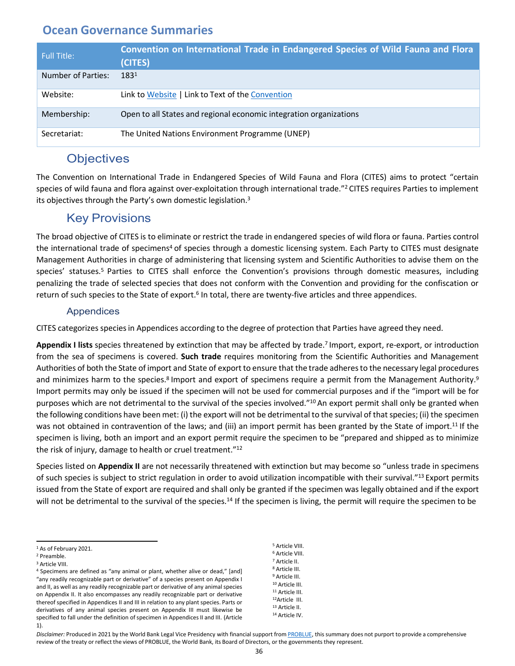<span id="page-37-0"></span>

| Full Title:        | Convention on International Trade in Endangered Species of Wild Fauna and Flora<br>(CITES) |
|--------------------|--------------------------------------------------------------------------------------------|
| Number of Parties: | 1831                                                                                       |
| Website:           | Link to Website   Link to Text of the Convention                                           |
| Membership:        | Open to all States and regional economic integration organizations                         |
| Secretariat:       | The United Nations Environment Programme (UNEP)                                            |

## **Objectives**

The Convention on International Trade in Endangered Species of Wild Fauna and Flora (CITES) aims to protect "certain species of wild fauna and flora against over-exploitation through international trade."<sup>2</sup> CITES requires Parties to implement its objectives through the Party's own domestic legislation.<sup>3</sup>

## Key Provisions

The broad objective of CITES is to eliminate or restrict the trade in endangered species of wild flora or fauna. Parties control the international trade of specimens<sup>4</sup> of species through a domestic licensing system. Each Party to CITES must designate Management Authorities in charge of administering that licensing system and Scientific Authorities to advise them on the species' statuses.<sup>5</sup> Parties to CITES shall enforce the Convention's provisions through domestic measures, including penalizing the trade of selected species that does not conform with the Convention and providing for the confiscation or return of such species to the State of export.<sup>6</sup> In total, there are twenty-five articles and three appendices.

#### Appendices

CITES categorizes speciesin Appendices according to the degree of protection that Parties have agreed they need.

**Appendix I lists** species threatened by extinction that may be affected by trade.7 Import, export, re-export, or introduction from the sea of specimens is covered. **Such trade** requires monitoring from the Scientific Authorities and Management Authorities of both the State of import and State of export to ensure that the trade adheresto the necessary legal procedures and minimizes harm to the species.<sup>8</sup> Import and export of specimens require a permit from the Management Authority.<sup>9</sup> Import permits may only be issued if the specimen will not be used for commercial purposes and if the "import will be for purposes which are not detrimental to the survival of the species involved."10 An export permit shall only be granted when the following conditions have been met: (i) the export will not be detrimental to the survival of that species; (ii) the specimen was not obtained in contravention of the laws; and (iii) an import permit has been granted by the State of import.<sup>11</sup> If the specimen is living, both an import and an export permit require the specimen to be "prepared and shipped as to minimize the risk of injury, damage to health or cruel treatment."12

Species listed on **Appendix II** are not necessarily threatened with extinction but may become so "unless trade in specimens of such species is subject to strict regulation in order to avoid utilization incompatible with their survival."<sup>13</sup> Export permits issued from the State of export are required and shall only be granted if the specimen was legally obtained and if the export will not be detrimental to the survival of the species.<sup>14</sup> If the specimen is living, the permit will require the specimen to be

 Article VIII. Article VIII. Article II. Article III. Article III. Article III. Article III. 12Article III. Article II. Article IV.

<sup>1</sup> As of February 2021.

<sup>2</sup> Preamble.

<sup>3</sup> Article VIII.

<sup>4</sup> Specimens are defined as "any animal or plant, whether alive or dead," [and] "any readily recognizable part or derivative" of a species present on Appendix I and II, as well as any readily recognizable part or derivative of any animal species on Appendix II. It also encompasses any readily recognizable part or derivative thereof specified in Appendices II and III in relation to any plant species. Parts or derivatives of any animal species present on Appendix III must likewise be specified to fall under the definition of specimen in Appendices II and III. (Article 1).

Disclaimer: Produced in 2021 by the World Bank Legal Vice Presidency with financial support from [PROBLUE, t](http://worldbank.org/problue)his summary does not purport to provide a comprehensive review of the treaty or reflect the views of PROBLUE, the World Bank, its Board of Directors, or the governments they represent.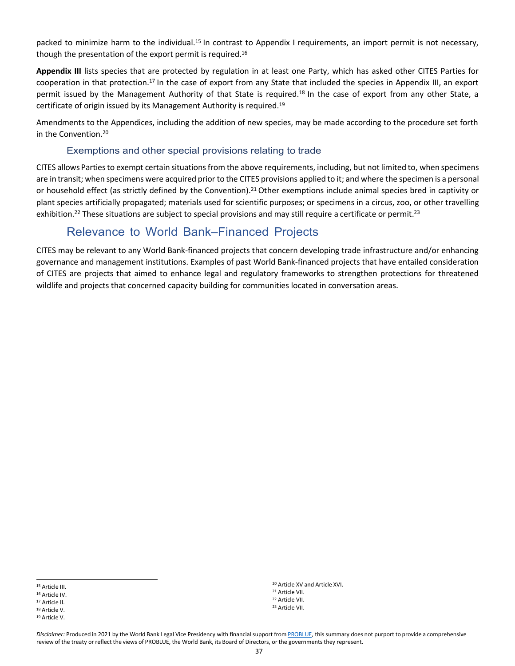packed to minimize harm to the individual.15 In contrast to Appendix I requirements, an import permit is not necessary, though the presentation of the export permit is required.16

**Appendix III** lists species that are protected by regulation in at least one Party, which has asked other CITES Parties for cooperation in that protection.17 In the case of export from any State that included the species in Appendix III, an export permit issued by the Management Authority of that State is required.18 In the case of export from any other State, a certificate of origin issued by its Management Authority is required.19

Amendments to the Appendices, including the addition of new species, may be made according to the procedure set forth in the Convention.20

#### Exemptions and other special provisions relating to trade

CITES allows Parties to exempt certain situations from the above requirements, including, but not limited to, when specimens are in transit; when specimens were acquired prior to the CITES provisions applied to it; and where the specimen is a personal or household effect (as strictly defined by the Convention).21 Other exemptions include animal species bred in captivity or plant species artificially propagated; materials used for scientific purposes; or specimens in a circus, zoo, or other travelling exhibition.<sup>22</sup> These situations are subject to special provisions and may still require a certificate or permit.<sup>23</sup>

## Relevance to World Bank–Financed Projects

CITES may be relevant to any World Bank-financed projects that concern developing trade infrastructure and/or enhancing governance and management institutions. Examples of past World Bank-financed projects that have entailed consideration of CITES are projects that aimed to enhance legal and regulatory frameworks to strengthen protections for threatened wildlife and projects that concerned capacity building for communities located in conversation areas.

<sup>17</sup> Article II.

 Article XV and Article XVI. Article VII. Article VII. Article VII.

<sup>15</sup> Article III.

<sup>16</sup> Article IV.

<sup>18</sup> Article V.

<sup>19</sup> Article V.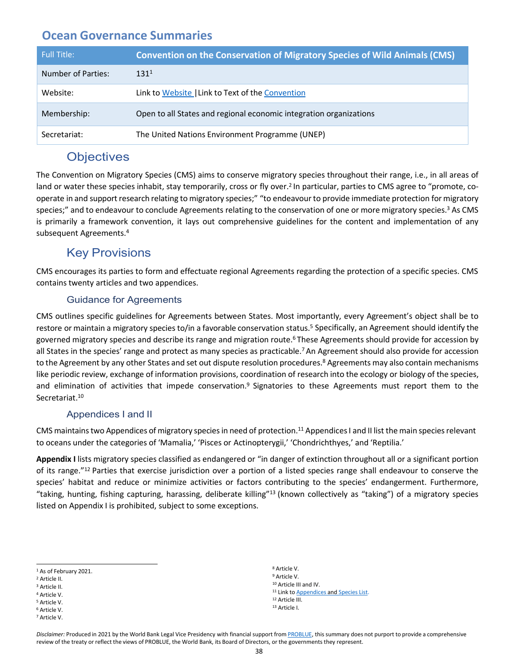<span id="page-39-0"></span>

| <b>Full Title:</b> | <b>Convention on the Conservation of Migratory Species of Wild Animals (CMS)</b> |
|--------------------|----------------------------------------------------------------------------------|
| Number of Parties: | 131 <sup>1</sup>                                                                 |
| Website:           | Link to Website   Link to Text of the Convention                                 |
| Membership:        | Open to all States and regional economic integration organizations               |
| Secretariat:       | The United Nations Environment Programme (UNEP)                                  |

## **Objectives**

The Convention on Migratory Species (CMS) aims to conserve migratory species throughout their range, i.e., in all areas of land or water these species inhabit, stay temporarily, cross or fly over.<sup>2</sup> In particular, parties to CMS agree to "promote, cooperate in and support research relating to migratory species;" "to endeavourto provide immediate protection for migratory species;" and to endeavour to conclude Agreements relating to the conservation of one or more migratory species.<sup>3</sup> As CMS is primarily a framework convention, it lays out comprehensive guidelines for the content and implementation of any subsequent Agreements.4

## Key Provisions

CMS encourages its parties to form and effectuate regional Agreements regarding the protection of a specific species. CMS contains twenty articles and two appendices.

#### Guidance for Agreements

CMS outlines specific guidelines for Agreements between States. Most importantly, every Agreement's object shall be to restore or maintain a migratory species to/in a favorable conservation status.<sup>5</sup> Specifically, an Agreement should identify the governed migratory species and describe its range and migration route.<sup>6</sup> These Agreements should provide for accession by all States in the species' range and protect as many species as practicable.<sup>7</sup> An Agreement should also provide for accession to the Agreement by any other States and set out dispute resolution procedures.<sup>8</sup> Agreements may also contain mechanisms like periodic review, exchange of information provisions, coordination of research into the ecology or biology of the species, and elimination of activities that impede conservation.<sup>9</sup> Signatories to these Agreements must report them to the Secretariat.<sup>10</sup>

#### Appendices I and II

CMS maintains two Appendices of migratory species in need of protection.<sup>11</sup> Appendices I and II list the main species relevant to oceans under the categories of 'Mamalia,' 'Pisces or Actinopterygii,' 'Chondrichthyes,' and 'Reptilia.'

**Appendix I** lists migratory species classified as endangered or "in danger of extinction throughout all or a significant portion of its range."12 Parties that exercise jurisdiction over a portion of a listed species range shall endeavour to conserve the species' habitat and reduce or minimize activities or factors contributing to the species' endangerment. Furthermore, "taking, hunting, fishing capturing, harassing, deliberate killing"13 (known collectively as "taking") of a migratory species listed on Appendix I is prohibited, subject to some exceptions.

- <sup>3</sup> Article II.
- <sup>4</sup> Article V. <sup>5</sup> Article V.
- <sup>6</sup> Article V.

 Article V. Article V. Article III and IV. 11 Link to **[Appendices](https://www.cms.int/sites/default/files/basic_page_documents/appendices_cop13_e_0.pdf) and [Species](https://www.cms.int/en/species) List**. Article III. Article I.

<sup>1</sup> As of February 2021.

<sup>2</sup> Article II.

<sup>7</sup> Article V.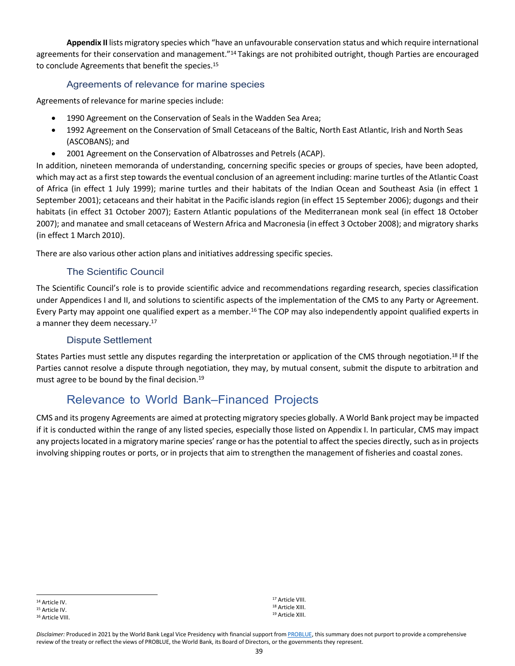**Appendix II** lists migratory species which "have an unfavourable conservation status and which require international agreements for their conservation and management."<sup>14</sup> Takings are not prohibited outright, though Parties are encouraged to conclude Agreements that benefit the species.<sup>15</sup>

#### Agreements of relevance for marine species

Agreements of relevance for marine species include:

- 1990 Agreement on the Conservation of Seals in the Wadden Sea Area;
- 1992 Agreement on the Conservation of Small Cetaceans of the Baltic, North East Atlantic, Irish and North Seas (ASCOBANS); and
- 2001 Agreement on the Conservation of Albatrosses and Petrels (ACAP).

In addition, nineteen memoranda of understanding, concerning specific species or groups of species, have been adopted, which may act as a first step towards the eventual conclusion of an agreement including: marine turtles of the Atlantic Coast of Africa (in effect 1 July 1999); marine turtles and their habitats of the Indian Ocean and Southeast Asia (in effect 1 September 2001); cetaceans and their habitat in the Pacific islands region (in effect 15 September 2006); dugongs and their habitats (in effect 31 October 2007); Eastern Atlantic populations of the Mediterranean monk seal (in effect 18 October 2007); and manatee and small cetaceans of Western Africa and Macronesia (in effect 3 October 2008); and migratory sharks (in effect 1 March 2010).

There are also various other action plans and initiatives addressing specific species.

#### The Scientific Council

The Scientific Council's role is to provide scientific advice and recommendations regarding research, species classification under Appendices I and II, and solutions to scientific aspects of the implementation of the CMS to any Party or Agreement. Every Party may appoint one qualified expert as a member.16 The COP may also independently appoint qualified experts in a manner they deem necessary.<sup>17</sup>

#### Dispute Settlement

States Parties must settle any disputes regarding the interpretation or application of the CMS through negotiation.18 If the Parties cannot resolve a dispute through negotiation, they may, by mutual consent, submit the dispute to arbitration and must agree to be bound by the final decision.19

## Relevance to World Bank–Financed Projects

CMS and its progeny Agreements are aimed at protecting migratory species globally. A World Bank project may be impacted if it is conducted within the range of any listed species, especially those listed on Appendix I. In particular, CMS may impact any projects located in a migratory marine species' range or has the potential to affect the species directly, such as in projects involving shipping routes or ports, or in projects that aim to strengthen the management of fisheries and coastal zones.

<sup>17</sup> Article VIII. <sup>18</sup> Article XIII. <sup>19</sup> Article XIII.

<sup>14</sup> Article IV. <sup>15</sup> Article IV.

<sup>16</sup> Article VIII.

Disclaimer: Produced in 2021 by the World Bank Legal Vice Presidency with financial support from [PROBLUE, t](http://worldbank.org/problue)his summary does not purport to provide a comprehensive review of the treaty or reflect the views of PROBLUE, the World Bank, its Board of Directors, or the governments they represent.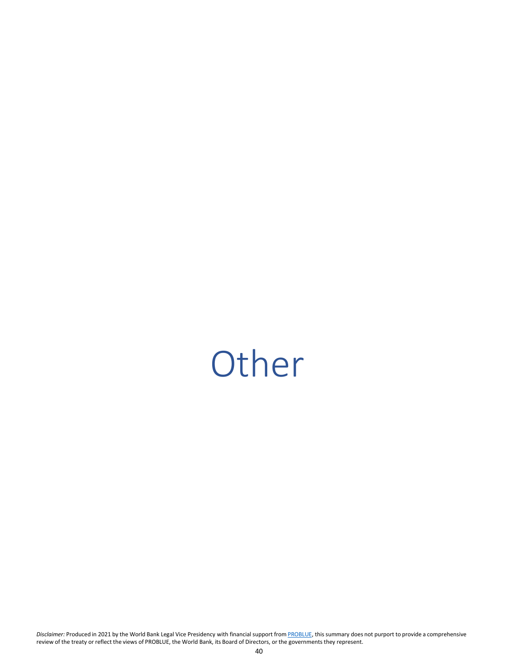# <span id="page-41-0"></span>**Other**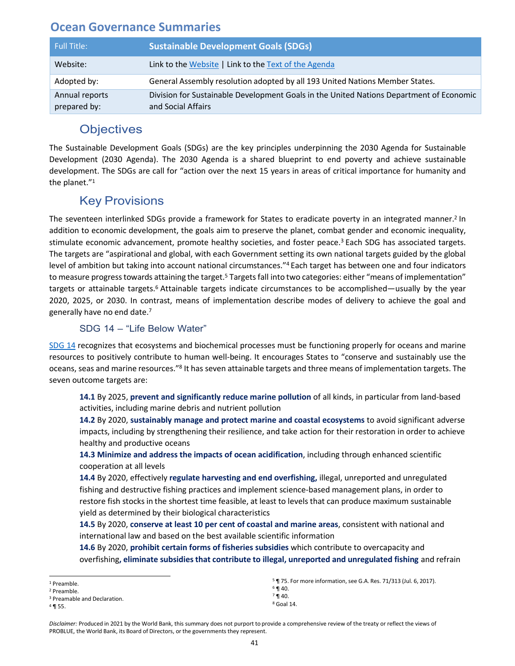<span id="page-42-0"></span>

| <b>Full Title:</b>             | <b>Sustainable Development Goals (SDGs)</b>                                                                   |
|--------------------------------|---------------------------------------------------------------------------------------------------------------|
| Website:                       | Link to the Website   Link to the Text of the Agenda                                                          |
| Adopted by:                    | General Assembly resolution adopted by all 193 United Nations Member States.                                  |
| Annual reports<br>prepared by: | Division for Sustainable Development Goals in the United Nations Department of Economic<br>and Social Affairs |

## **Objectives**

The Sustainable Development Goals (SDGs) are the key principles underpinning the 2030 Agenda for Sustainable Development (2030 Agenda). The 2030 Agenda is a shared blueprint to end poverty and achieve sustainable development. The SDGs are call for "action over the next 15 years in areas of critical importance for humanity and the planet."1

## Key Provisions

The seventeen interlinked SDGs provide a framework for States to eradicate poverty in an integrated manner.2 In addition to economic development, the goals aim to preserve the planet, combat gender and economic inequality, stimulate economic advancement, promote healthy societies, and foster peace.<sup>3</sup> Each SDG has associated targets. The targets are "aspirational and global, with each Government setting its own national targets guided by the global level of ambition but taking into account national circumstances."4 Each target has between one and four indicators to measure progress towards attaining the target.<sup>5</sup> Targets fall into two categories: either "means of implementation" targets or attainable targets.<sup>6</sup> Attainable targets indicate circumstances to be accomplished—usually by the year 2020, 2025, or 2030. In contrast, means of implementation describe modes of delivery to achieve the goal and generally have no end date.7

#### SDG 14 – "Life Below Water"

[SDG 14](https://sdgs.un.org/goals/goal14) recognizes that ecosystems and biochemical processes must be functioning properly for oceans and marine resources to positively contribute to human well-being. It encourages States to "conserve and sustainably use the oceans, seas and marine resources."8 It has seven attainable targets and three means of implementation targets. The seven outcome targets are:

**14.1** By 2025, **prevent and significantly reduce marine pollution** of all kinds, in particular from land-based activities, including marine debris and nutrient pollution

**14.2** By 2020, **sustainably manage and protect marine and coastal ecosystems** to avoid significant adverse impacts, including by strengthening their resilience, and take action for their restoration in order to achieve healthy and productive oceans

**14.3 Minimize and address the impacts of ocean acidification**, including through enhanced scientific cooperation at all levels

**14.4** By 2020, effectively **regulate harvesting and end overfishing,** illegal, unreported and unregulated fishing and destructive fishing practices and implement science-based management plans, in order to restore fish stocks in the shortest time feasible, at least to levels that can produce maximum sustainable yield as determined by their biological characteristics

**14.5** By 2020, **conserve at least 10 per cent of coastal and marine areas**, consistent with national and international law and based on the best available scientific information

**14.6** By 2020, **prohibit certain forms of fisheries subsidies** which contribute to overcapacity and overfishing**, eliminate subsidiesthat contribute to illegal, unreported and unregulated fishing** and refrain

<sup>1</sup> Preamble.

<sup>2</sup> Preamble.

<sup>3</sup> Preamable and Declaration.

<sup>4</sup> ¶ 55.

<sup>5</sup> ¶ 75. For more information, see G.A. Res. 71/313 (Jul. 6, 2017).  $6$  ¶ 40.

 $7 \,$ ¶ 40.

<sup>8</sup> Goal 14.

*Disclaimer:* Produced in 2021 by the World Bank, this summary does not purport to provide a comprehensive review of the treaty or reflect the views of PROBLUE, the World Bank, its Board of Directors, or the governments they represent.